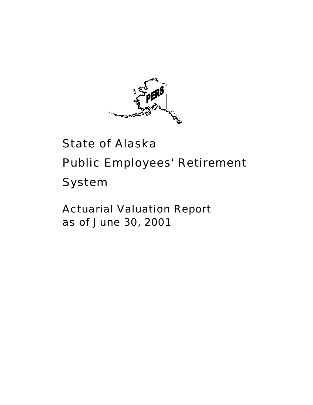

# State of Alaska Public Employees' Retirement System

Actuarial Valuation Report as of June 30, 2001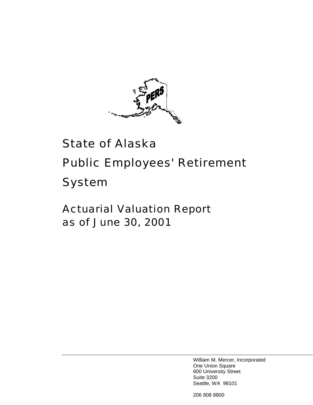

# State of Alaska Public Employees' Retirement System

Actuarial Valuation Report as of June 30, 2001

> William M. Mercer, Incorporated One Union Square 600 University Street Suite 3200 Seattle, WA 98101

206 808 8800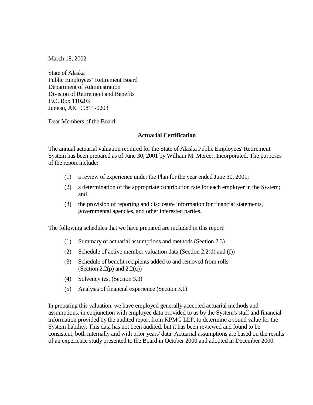March 18, 2002

State of Alaska Public Employees' Retirement Board Department of Administration Division of Retirement and Benefits P.O. Box 110203 Juneau, AK 99811-0203

Dear Members of the Board:

#### **Actuarial Certification**

The annual actuarial valuation required for the State of Alaska Public Employees' Retirement System has been prepared as of June 30, 2001 by William M. Mercer, Incorporated. The purposes of the report include:

- (1) a review of experience under the Plan for the year ended June 30, 2001;
- (2) a determination of the appropriate contribution rate for each employer in the System; and
- (3) the provision of reporting and disclosure information for financial statements, governmental agencies, and other interested parties.

The following schedules that we have prepared are included in this report:

- (1) Summary of actuarial assumptions and methods (Section 2.3)
- (2) Schedule of active member valuation data (Section 2.2(d) and (f))
- (3) Schedule of benefit recipients added to and removed from rolls (Section 2.2(p) and  $2.2(q)$ )
- (4) Solvency test (Section 3.3)
- (5) Analysis of financial experience (Section 3.1)

In preparing this valuation, we have employed generally accepted actuarial methods and assumptions, in conjunction with employee data provided to us by the System's staff and financial information provided by the audited report from KPMG LLP, to determine a sound value for the System liability. This data has not been audited, but it has been reviewed and found to be consistent, both internally and with prior years' data. Actuarial assumptions are based on the results of an experience study presented to the Board in October 2000 and adopted in December 2000.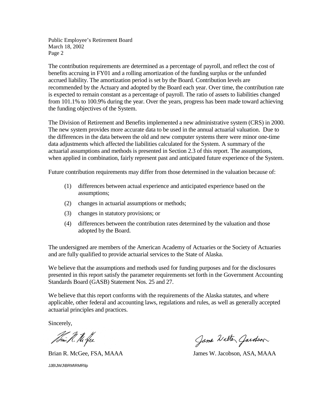Public Employee's Retirement Board March 18, 2002 Page 2

The contribution requirements are determined as a percentage of payroll, and reflect the cost of benefits accruing in FY01 and a rolling amortization of the funding surplus or the unfunded accrued liability. The amortization period is set by the Board. Contribution levels are recommended by the Actuary and adopted by the Board each year. Over time, the contribution rate is expected to remain constant as a percentage of payroll. The ratio of assets to liabilities changed from 101.1% to 100.9% during the year. Over the years, progress has been made toward achieving the funding objectives of the System.

The Division of Retirement and Benefits implemented a new administrative system (CRS) in 2000. The new system provides more accurate data to be used in the annual actuarial valuation. Due to the differences in the data between the old and new computer systems there were minor one-time data adjustments which affected the liabilities calculated for the System. A summary of the actuarial assumptions and methods is presented in Section 2.3 of this report. The assumptions, when applied in combination, fairly represent past and anticipated future experience of the System.

Future contribution requirements may differ from those determined in the valuation because of:

- (1) differences between actual experience and anticipated experience based on the assumptions;
- (2) changes in actuarial assumptions or methods;
- (3) changes in statutory provisions; or
- (4) differences between the contribution rates determined by the valuation and those adopted by the Board.

The undersigned are members of the American Academy of Actuaries or the Society of Actuaries and are fully qualified to provide actuarial services to the State of Alaska.

We believe that the assumptions and methods used for funding purposes and for the disclosures presented in this report satisfy the parameter requirements set forth in the Government Accounting Standards Board (GASB) Statement Nos. 25 and 27.

We believe that this report conforms with the requirements of the Alaska statutes, and where applicable, other federal and accounting laws, regulations and rules, as well as generally accepted actuarial principles and practices.

Sincerely,

Journ R. M. Jee

JJB\JWJ\BRM\RMR\lp

Jame Walter Gardson

Brian R. McGee, FSA, MAAA James W. Jacobson, ASA, MAAA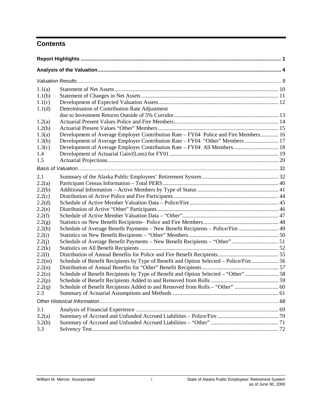# **Contents**

| 1.1(a) |                                                                                        |  |
|--------|----------------------------------------------------------------------------------------|--|
| 1.1(b) |                                                                                        |  |
| 1.1(c) |                                                                                        |  |
| 1.1(d) | Determination of Contribution Rate Adjustment                                          |  |
|        |                                                                                        |  |
| 1.2(a) |                                                                                        |  |
| 1.2(b) |                                                                                        |  |
| 1.3(a) | Development of Average Employer Contribution Rate - FY04 Police and Fire Members 16    |  |
| 1.3(b) | Development of Average Employer Contribution Rate – FY04 "Other" Members  17           |  |
| 1.3(c) | Development of Average Employer Contribution Rate - FY04 All Members 18                |  |
| 1.4    |                                                                                        |  |
| 1.5    |                                                                                        |  |
|        |                                                                                        |  |
| 2.1    |                                                                                        |  |
| 2.2(a) |                                                                                        |  |
| 2.2(b) |                                                                                        |  |
| 2.2(c) |                                                                                        |  |
| 2.2(d) |                                                                                        |  |
| 2.2(e) |                                                                                        |  |
| 2.2(f) |                                                                                        |  |
| 2.2(g) |                                                                                        |  |
| 2.2(h) | Schedule of Average Benefit Payments - New Benefit Recipients - Police/Fire  49        |  |
| 2.2(i) |                                                                                        |  |
| 2.2(j) | Schedule of Average Benefit Payments - New Benefit Recipients - "Other"  51            |  |
| 2.2(k) |                                                                                        |  |
| 2.2(l) |                                                                                        |  |
| 2.2(m) | Schedule of Benefit Recipients by Type of Benefit and Option Selected - Police/Fire 56 |  |
| 2.2(n) |                                                                                        |  |
| 2.2(0) | Schedule of Benefit Recipients by Type of Benefit and Option Selected - "Other" 58     |  |
| 2.2(p) |                                                                                        |  |
| 2.2(q) |                                                                                        |  |
| 2.3    |                                                                                        |  |
|        |                                                                                        |  |
| 3.1    |                                                                                        |  |
| 3.2(a) |                                                                                        |  |
| 3.2(b) |                                                                                        |  |
| 3.3    |                                                                                        |  |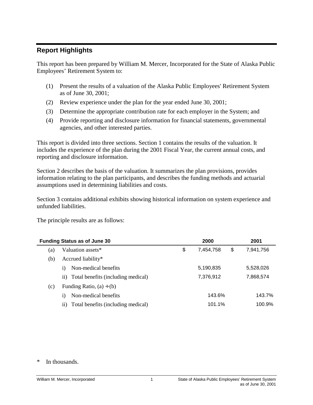# <span id="page-5-0"></span>**Report Highlights**

This report has been prepared by William M. Mercer, Incorporated for the State of Alaska Public Employees' Retirement System to:

- (1) Present the results of a valuation of the Alaska Public Employees' Retirement System as of June 30, 2001;
- (2) Review experience under the plan for the year ended June 30, 2001;
- (3) Determine the appropriate contribution rate for each employer in the System; and
- (4) Provide reporting and disclosure information for financial statements, governmental agencies, and other interested parties.

This report is divided into three sections. Section 1 contains the results of the valuation. It includes the experience of the plan during the 2001 Fiscal Year, the current annual costs, and reporting and disclosure information.

Section 2 describes the basis of the valuation. It summarizes the plan provisions, provides information relating to the plan participants, and describes the funding methods and actuarial assumptions used in determining liabilities and costs.

Section 3 contains additional exhibits showing historical information on system experience and unfunded liabilities.

The principle results are as follows:

|     | <b>Funding Status as of June 30</b>       | 2000            | 2001            |
|-----|-------------------------------------------|-----------------|-----------------|
| (a) | Valuation assets*                         | \$<br>7,454,758 | \$<br>7,941,756 |
| (b) | Accrued liability*                        |                 |                 |
|     | Non-medical benefits<br>1)                | 5,190,835       | 5,528,026       |
|     | ii) Total benefits (including medical)    | 7,376,912       | 7,868,574       |
| (c) | Funding Ratio, $(a) \div (b)$             |                 |                 |
|     | Non-medical benefits<br>1)                | 143.6%          | 143.7%          |
|     | Total benefits (including medical)<br>11) | 101.1%          | 100.9%          |

\* In thousands.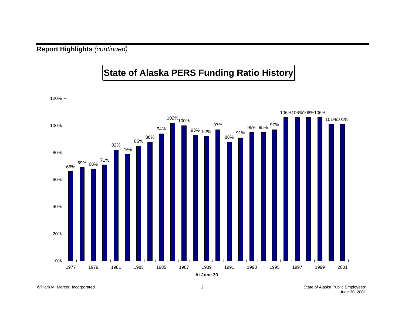**Report Highlights** *(continued)*

# **State of Alaska PERS Funding Ratio History**

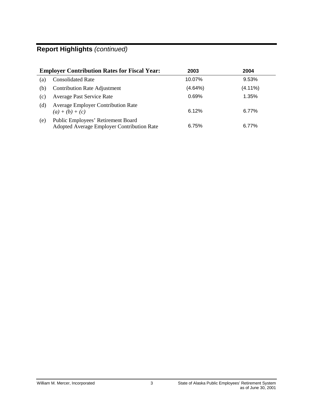# **Report Highlights** *(continued)*

|     | <b>Employer Contribution Rates for Fiscal Year:</b>                              | 2003    | 2004       |
|-----|----------------------------------------------------------------------------------|---------|------------|
| (a) | <b>Consolidated Rate</b>                                                         | 10.07%  | 9.53%      |
| (b) | <b>Contribution Rate Adjustment</b>                                              | (4.64%) | $(4.11\%)$ |
| (c) | Average Past Service Rate                                                        | 0.69%   | 1.35%      |
| (d) | <b>Average Employer Contribution Rate</b><br>$(a) + (b) + (c)$                   | 6.12%   | 6.77%      |
| (e) | Public Employees' Retirement Board<br>Adopted Average Employer Contribution Rate | 6.75%   | 6.77%      |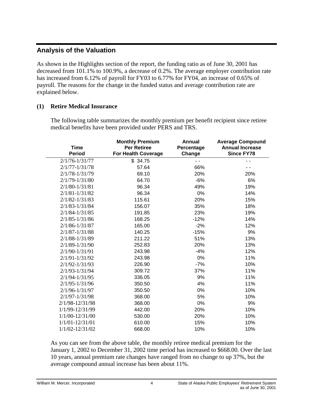# <span id="page-8-0"></span>**Analysis of the Valuation**

As shown in the Highlights section of the report, the funding ratio as of June 30, 2001 has decreased from 101.1% to 100.9%, a decrease of 0.2%. The average employer contribution rate has increased from 6.12% of payroll for FY03 to 6.77% for FY04, an increase of 0.65% of payroll. The reasons for the change in the funded status and average contribution rate are explained below.

# **(1) Retire Medical Insurance**

The following table summarizes the monthly premium per benefit recipient since retiree medical benefits have been provided under PERS and TRS.

| <b>Time</b><br><b>Period</b> | <b>Monthly Premium</b><br><b>Per Retiree</b><br><b>For Health Coverage</b> | Annual<br>Percentage<br>Change | <b>Average Compound</b><br><b>Annual Increase</b><br><b>Since FY78</b> |
|------------------------------|----------------------------------------------------------------------------|--------------------------------|------------------------------------------------------------------------|
| $2/1/76 - 1/31/77$           | \$34.75                                                                    |                                |                                                                        |
| $2/1/77 - 1/31/78$           | 57.64                                                                      | 66%                            |                                                                        |
| 2/1/78-1/31/79               | 69.10                                                                      | 20%                            | 20%                                                                    |
| $2/1/79 - 1/31/80$           | 64.70                                                                      | $-6%$                          | 6%                                                                     |
| $2/1/80 - 1/31/81$           | 96.34                                                                      | 49%                            | 19%                                                                    |
| $2/1/81 - 1/31/82$           | 96.34                                                                      | 0%                             | 14%                                                                    |
| $2/1/82 - 1/31/83$           | 115.61                                                                     | 20%                            | 15%                                                                    |
| $2/1/83 - 1/31/84$           | 156.07                                                                     | 35%                            | 18%                                                                    |
| $2/1/84 - 1/31/85$           | 191.85                                                                     | 23%                            | 19%                                                                    |
| $2/1/85 - 1/31/86$           | 168.25                                                                     | $-12%$                         | 14%                                                                    |
| $2/1/86 - 1/31/87$           | 165.00                                                                     | $-2%$                          | 12%                                                                    |
| $2/1/87 - 1/31/88$           | 140.25                                                                     | $-15%$                         | 9%                                                                     |
| 2/1/88-1/31/89               | 211.22                                                                     | 51%                            | 13%                                                                    |
| 2/1/89-1/31/90               | 252.83                                                                     | 20%                            | 13%                                                                    |
| $2/1/90 - 1/31/91$           | 243.98                                                                     | $-4%$                          | 12%                                                                    |
| $2/1/91 - 1/31/92$           | 243.98                                                                     | 0%                             | 11%                                                                    |
| $2/1/92 - 1/31/93$           | 226.90                                                                     | $-7%$                          | 10%                                                                    |
| 2/1/93-1/31/94               | 309.72                                                                     | 37%                            | 11%                                                                    |
| $2/1/94 - 1/31/95$           | 336.05                                                                     | 9%                             | 11%                                                                    |
| $2/1/95 - 1/31/96$           | 350.50                                                                     | 4%                             | 11%                                                                    |
| 2/1/96-1/31/97               | 350.50                                                                     | 0%                             | 10%                                                                    |
| $2/1/97 - 1/31/98$           | 368.00                                                                     | 5%                             | 10%                                                                    |
| 2/1/98-12/31/98              | 368.00                                                                     | 0%                             | 9%                                                                     |
| 1/1/99-12/31/99              | 442.00                                                                     | 20%                            | 10%                                                                    |
| 1/1/00-12/31/00              | 530.00                                                                     | 20%                            | 10%                                                                    |
| $1/1/01 - 12/31/01$          | 610.00                                                                     | 15%                            | 10%                                                                    |
| 1/1/02-12/31/02              | 668.00                                                                     | 10%                            | 10%                                                                    |

As you can see from the above table, the monthly retiree medical premium for the January 1, 2002 to December 31, 2002 time period has increased to \$668.00. Over the last 10 years, annual premium rate changes have ranged from no change to up 37%, but the average compound annual increase has been about 11%.

William M. Mercer, Incorporated **4** State of Alaska Public Employees' Retirement System as of June 30, 2001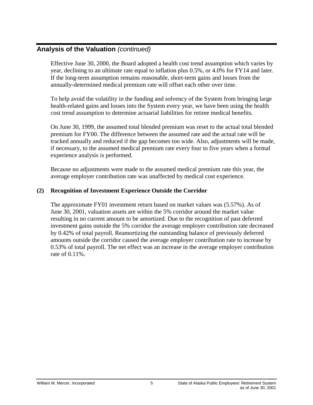Effective June 30, 2000, the Board adopted a health cost trend assumption which varies by year, declining to an ultimate rate equal to inflation plus 0.5%, or 4.0% for FY14 and later. If the long-term assumption remains reasonable, short-term gains and losses from the annually-determined medical premium rate will offset each other over time.

To help avoid the volatility in the funding and solvency of the System from bringing large health-related gains and losses into the System every year, we have been using the health cost trend assumption to determine actuarial liabilities for retiree medical benefits.

On June 30, 1999, the assumed total blended premium was reset to the actual total blended premium for FY00. The difference between the assumed rate and the actual rate will be tracked annually and reduced if the gap becomes too wide. Also, adjustments will be made, if necessary, to the assumed medical premium rate every four to five years when a formal experience analysis is performed.

Because no adjustments were made to the assumed medical premium rate this year, the average employer contribution rate was unaffected by medical cost experience.

### **(2) Recognition of Investment Experience Outside the Corridor**

The approximate FY01 investment return based on market values was (5.57%). As of June 30, 2001, valuation assets are within the 5% corridor around the market value resulting in no current amount to be amortized. Due to the recognition of past deferred investment gains outside the 5% corridor the average employer contribution rate decreased by 0.42% of total payroll. Reamortizing the outstanding balance of previously deferred amounts outside the corridor caused the average employer contribution rate to increase by 0.53% of total payroll. The net effect was an increase in the average employer contribution rate of 0.11%.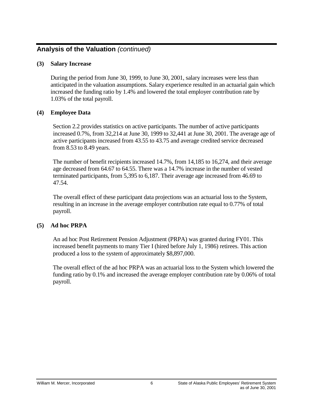### **(3) Salary Increase**

During the period from June 30, 1999, to June 30, 2001, salary increases were less than anticipated in the valuation assumptions. Salary experience resulted in an actuarial gain which increased the funding ratio by 1.4% and lowered the total employer contribution rate by 1.03% of the total payroll.

### **(4) Employee Data**

Section 2.2 provides statistics on active participants. The number of active participants increased 0.7%, from 32,214 at June 30, 1999 to 32,441 at June 30, 2001. The average age of active participants increased from 43.55 to 43.75 and average credited service decreased from 8.53 to 8.49 years.

The number of benefit recipients increased 14.7%, from 14,185 to 16,274, and their average age decreased from 64.67 to 64.55. There was a 14.7% increase in the number of vested terminated participants, from 5,395 to 6,187. Their average age increased from 46.69 to 47.54.

The overall effect of these participant data projections was an actuarial loss to the System, resulting in an increase in the average employer contribution rate equal to 0.77% of total payroll.

### **(5) Ad hoc PRPA**

An ad hoc Post Retirement Pension Adjustment (PRPA) was granted during FY01. This increased benefit payments to many Tier I (hired before July 1, 1986) retirees. This action produced a loss to the system of approximately \$8,897,000.

The overall effect of the ad hoc PRPA was an actuarial loss to the System which lowered the funding ratio by 0.1% and increased the average employer contribution rate by 0.06% of total payroll.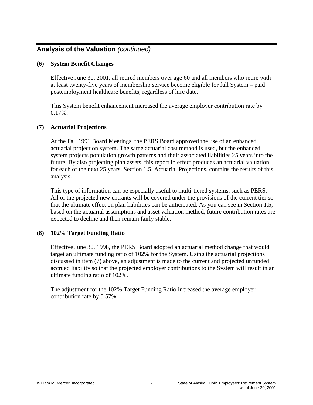### **(6) System Benefit Changes**

Effective June 30, 2001, all retired members over age 60 and all members who retire with at least twenty-five years of membership service become eligible for full System – paid postemployment healthcare benefits, regardless of hire date.

This System benefit enhancement increased the average employer contribution rate by 0.17%.

### **(7) Actuarial Projections**

At the Fall 1991 Board Meetings, the PERS Board approved the use of an enhanced actuarial projection system. The same actuarial cost method is used, but the enhanced system projects population growth patterns and their associated liabilities 25 years into the future. By also projecting plan assets, this report in effect produces an actuarial valuation for each of the next 25 years. Section 1.5, Actuarial Projections, contains the results of this analysis.

This type of information can be especially useful to multi-tiered systems, such as PERS. All of the projected new entrants will be covered under the provisions of the current tier so that the ultimate effect on plan liabilities can be anticipated. As you can see in Section 1.5, based on the actuarial assumptions and asset valuation method, future contribution rates are expected to decline and then remain fairly stable.

### **(8) 102% Target Funding Ratio**

Effective June 30, 1998, the PERS Board adopted an actuarial method change that would target an ultimate funding ratio of 102% for the System. Using the actuarial projections discussed in item (7) above, an adjustment is made to the current and projected unfunded accrued liability so that the projected employer contributions to the System will result in an ultimate funding ratio of 102%.

The adjustment for the 102% Target Funding Ratio increased the average employer contribution rate by 0.57%.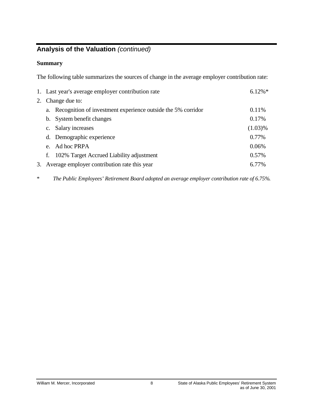# **Summary**

The following table summarizes the sources of change in the average employer contribution rate:

| 1. Last year's average employer contribution rate               | $6.12\%*$  |
|-----------------------------------------------------------------|------------|
| 2. Change due to:                                               |            |
| a. Recognition of investment experience outside the 5% corridor | 0.11%      |
| b. System benefit changes                                       | 0.17%      |
| Salary increases<br>$c_{\cdot}$                                 | $(1.03)\%$ |
| d. Demographic experience                                       | 0.77%      |
| e. Ad hoc PRPA                                                  | 0.06%      |
| 102% Target Accrued Liability adjustment                        | 0.57%      |
| 3. Average employer contribution rate this year                 | 6.77%      |
|                                                                 |            |

\* *The Public Employees' Retirement Board adopted an average employer contribution rate of 6.75%.*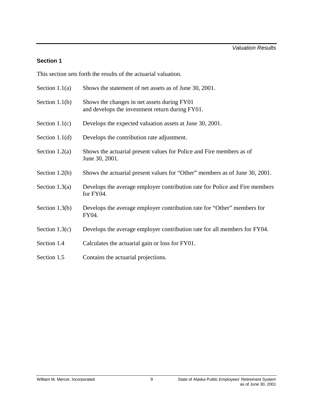# **Section 1**

This section sets forth the results of the actuarial valuation.

| Section $1.1(a)$ | Shows the statement of net assets as of June 30, 2001.                                         |
|------------------|------------------------------------------------------------------------------------------------|
| Section $1.1(b)$ | Shows the changes in net assets during FY01<br>and develops the investment return during FY01. |
| Section $1.1(c)$ | Develops the expected valuation assets at June 30, 2001.                                       |
| Section $1.1(d)$ | Develops the contribution rate adjustment.                                                     |
| Section $1.2(a)$ | Shows the actuarial present values for Police and Fire members as of<br>June 30, 2001.         |
| Section $1.2(b)$ | Shows the actuarial present values for "Other" members as of June 30, 2001.                    |
| Section $1.3(a)$ | Develops the average employer contribution rate for Police and Fire members<br>for FY04.       |
| Section $1.3(b)$ | Develops the average employer contribution rate for "Other" members for<br>FY04.               |
| Section $1.3(c)$ | Develops the average employer contribution rate for all members for FY04.                      |
| Section 1.4      | Calculates the actuarial gain or loss for FY01.                                                |
| Section 1.5      | Contains the actuarial projections.                                                            |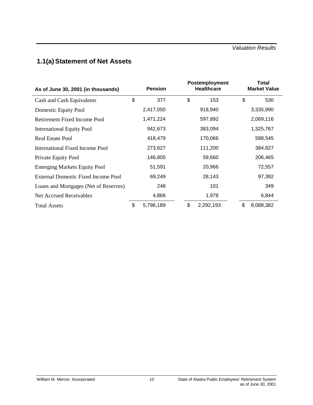# <span id="page-14-0"></span>**1.1(a) Statement of Net Assets**

| As of June 30, 2001 (in thousands)    | <b>Pension</b>     |           | Postemployment<br><b>Healthcare</b> |           | <b>Total</b><br><b>Market Value</b> |           |  |
|---------------------------------------|--------------------|-----------|-------------------------------------|-----------|-------------------------------------|-----------|--|
| Cash and Cash Equivalents             | \$                 | 377       | \$                                  | 153       | \$                                  | 530       |  |
| Domestic Equity Pool                  |                    | 2,417,050 | 918,940                             |           |                                     | 3,335,990 |  |
| <b>Retirement Fixed Income Pool</b>   |                    | 1,471,224 |                                     | 597,892   |                                     | 2,069,116 |  |
| <b>International Equity Pool</b>      |                    | 942,673   |                                     | 383,094   |                                     | 1,325,767 |  |
| Real Estate Pool                      | 418,479<br>170,066 |           |                                     | 588,545   |                                     |           |  |
| International Fixed Income Pool       |                    | 273,627   |                                     | 111,200   |                                     | 384,827   |  |
| Private Equity Pool                   |                    | 146,805   |                                     | 59,660    |                                     | 206,465   |  |
| <b>Emerging Markets Equity Pool</b>   |                    | 51,591    |                                     | 20,966    |                                     | 72,557    |  |
| External Domestic Fixed Income Pool   |                    | 69,249    |                                     | 28,143    |                                     | 97,392    |  |
| Loans and Mortgages (Net of Reserves) |                    | 248       |                                     | 101       |                                     | 349       |  |
| Net Accrued Receivables               |                    | 4,866     |                                     | 1,978     |                                     | 6,844     |  |
| <b>Total Assets</b>                   | \$                 | 5,796,189 | \$                                  | 2,292,193 | \$                                  | 8,088,382 |  |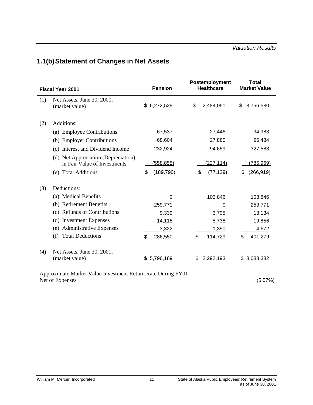# <span id="page-15-0"></span>**1.1(b)Statement of Changes in Net Assets**

|     | <b>Fiscal Year 2001</b>                                             | <b>Pension</b>   | Postemployment<br><b>Healthcare</b> | Total<br><b>Market Value</b> |
|-----|---------------------------------------------------------------------|------------------|-------------------------------------|------------------------------|
| (1) | Net Assets, June 30, 2000,<br>(market value)                        | \$6,272,529      | \$<br>2,484,051                     | 8,756,580<br>\$              |
| (2) | Additions:                                                          |                  |                                     |                              |
|     | (a) Employee Contributions                                          | 67,537           | 27,446                              | 94,983                       |
|     | (b) Employer Contributions                                          | 68,604           | 27,880                              | 96,484                       |
|     | Interest and Dividend Income<br>(c)                                 | 232,924          | 94,659                              | 327,583                      |
|     | (d) Net Appreciation (Depreciation)<br>in Fair Value of Investments | <u>(558,855)</u> | <u>(227,114)</u>                    | <u>(785,969)</u>             |
|     | (e) Total Additions                                                 | \$<br>(189, 790) | \$<br>(77, 129)                     | (266, 919)<br>\$             |
| (3) | Deductions:                                                         |                  |                                     |                              |
|     | (a) Medical Benefits                                                | $\Omega$         | 103,846                             | 103,846                      |
|     | (b) Retirement Benefits                                             | 259,771          | 0                                   | 259,771                      |
|     | (c) Refunds of Contributions                                        | 9,339            | 3,795                               | 13,134                       |
|     | (d) Investment Expenses                                             | 14,118           | 5,738                               | 19,856                       |
|     | <b>Administrative Expenses</b><br>(e)                               | 3,322            | 1,350                               | 4,672                        |
|     | <b>Total Deductions</b><br>(f)                                      | \$<br>286,550    | \$<br>114,729                       | \$<br>401,279                |
| (4) | Net Assets, June 30, 2001,<br>(market value)                        | 5,796,189<br>\$  | 2,292,193<br>S                      | 8,088,382<br>\$.             |

Approximate Market Value Investment Return Rate During FY01, Net of Expenses (5.57%)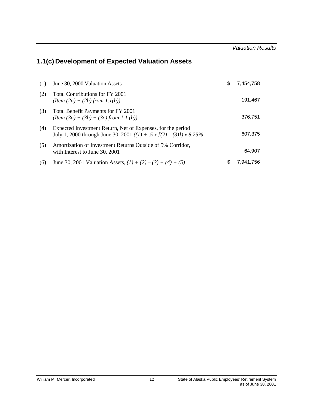# <span id="page-16-0"></span>**1.1(c) Development of Expected Valuation Assets**

| (1) | June 30, 2000 Valuation Assets                                                                                                     | S | 7,454,758 |
|-----|------------------------------------------------------------------------------------------------------------------------------------|---|-----------|
| (2) | Total Contributions for FY 2001<br>$(Item (2a) + (2b) from 1.1(b))$                                                                |   | 191,467   |
| (3) | Total Benefit Payments for FY 2001<br>$(Item (3a) + (3b) + (3c) from 1.1 (b))$                                                     |   | 376.751   |
| (4) | Expected Investment Return, Net of Expenses, for the period<br>July 1, 2000 through June 30, 2001 ((1) + .5 x [(2) – (3)]) x 8.25% |   | 607,375   |
| (5) | Amortization of Investment Returns Outside of 5% Corridor,<br>with Interest to June 30, 2001                                       |   | 64,907    |
| (6) | June 30, 2001 Valuation Assets, $(1) + (2) - (3) + (4) + (5)$                                                                      | S | 7.941.756 |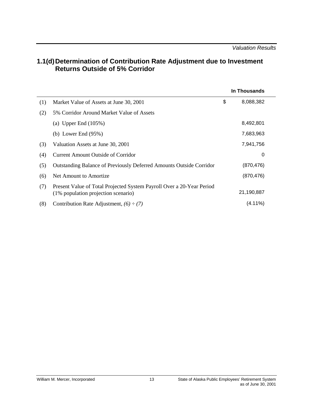# <span id="page-17-0"></span>**1.1(d)Determination of Contribution Rate Adjustment due to Investment Returns Outside of 5% Corridor**

|     |                                                                                                              | In Thousands    |
|-----|--------------------------------------------------------------------------------------------------------------|-----------------|
| (1) | Market Value of Assets at June 30, 2001                                                                      | \$<br>8,088,382 |
| (2) | 5% Corridor Around Market Value of Assets                                                                    |                 |
|     | (a) Upper End $(105\%)$                                                                                      | 8,492,801       |
|     | (b) Lower End $(95%)$                                                                                        | 7,683,963       |
| (3) | Valuation Assets at June 30, 2001                                                                            | 7,941,756       |
| (4) | Current Amount Outside of Corridor                                                                           | 0               |
| (5) | <b>Outstanding Balance of Previously Deferred Amounts Outside Corridor</b>                                   | (870, 476)      |
| (6) | Net Amount to Amortize                                                                                       | (870, 476)      |
| (7) | Present Value of Total Projected System Payroll Over a 20-Year Period<br>(1% population projection scenario) | 21,190,887      |
| (8) | Contribution Rate Adjustment, $(6) \div (7)$                                                                 | $(4.11\%)$      |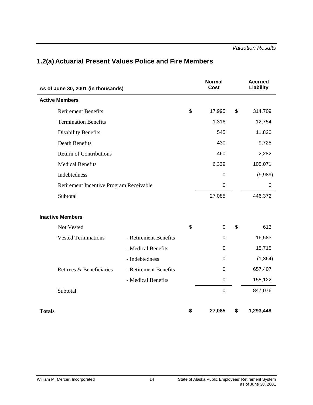| As of June 30, 2001 (in thousands)      |                       | <b>Normal</b><br>Cost | <b>Accrued</b><br>Liability |
|-----------------------------------------|-----------------------|-----------------------|-----------------------------|
| <b>Active Members</b>                   |                       |                       |                             |
| <b>Retirement Benefits</b>              |                       | \$<br>17,995          | \$<br>314,709               |
| <b>Termination Benefits</b>             |                       | 1,316                 | 12,754                      |
| <b>Disability Benefits</b>              |                       | 545                   | 11,820                      |
| <b>Death Benefits</b>                   |                       | 430                   | 9,725                       |
| <b>Return of Contributions</b>          |                       | 460                   | 2,282                       |
| <b>Medical Benefits</b>                 |                       | 6,339                 | 105,071                     |
| Indebtedness                            |                       | 0                     | (9,989)                     |
| Retirement Incentive Program Receivable |                       | $\mathbf 0$           | $\mathbf 0$                 |
| Subtotal                                |                       | 27,085                | 446,372                     |
| <b>Inactive Members</b>                 |                       |                       |                             |
| Not Vested                              |                       | \$<br>0               | \$<br>613                   |
| <b>Vested Terminations</b>              | - Retirement Benefits | 0                     | 16,583                      |
|                                         | - Medical Benefits    | 0                     | 15,715                      |
|                                         | - Indebtedness        | 0                     | (1, 364)                    |
| Retirees & Beneficiaries                | - Retirement Benefits | 0                     | 657,407                     |
|                                         | - Medical Benefits    | $\mathbf 0$           | 158,122                     |
| Subtotal                                |                       | $\pmb{0}$             | 847,076                     |
| <b>Totals</b>                           |                       | \$<br>27,085          | \$<br>1,293,448             |

# <span id="page-18-0"></span>**1.2(a) Actuarial Present Values Police and Fire Members**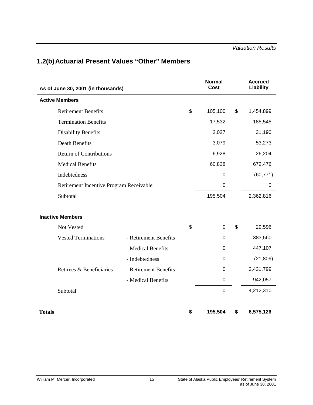# <span id="page-19-0"></span>**1.2(b) Actuarial Present Values "Other" Members**

| As of June 30, 2001 (in thousands)      |                       | <b>Normal</b><br>Cost  | <b>Accrued</b><br>Liability |
|-----------------------------------------|-----------------------|------------------------|-----------------------------|
| <b>Active Members</b>                   |                       |                        |                             |
| <b>Retirement Benefits</b>              |                       | \$<br>105,100          | \$<br>1,454,899             |
| <b>Termination Benefits</b>             |                       | 17,532                 | 185,545                     |
| <b>Disability Benefits</b>              |                       | 2,027                  | 31,190                      |
| <b>Death Benefits</b>                   |                       | 3,079                  | 53,273                      |
| <b>Return of Contributions</b>          |                       | 6,928                  | 26,204                      |
| <b>Medical Benefits</b>                 |                       | 60,838                 | 672,476                     |
| Indebtedness                            |                       | 0                      | (60, 771)                   |
| Retirement Incentive Program Receivable |                       | $\boldsymbol{0}$       | 0                           |
| Subtotal                                |                       | 195,504                | 2,362,816                   |
| <b>Inactive Members</b>                 |                       |                        |                             |
| Not Vested                              |                       | \$<br>$\boldsymbol{0}$ | \$<br>29,596                |
| <b>Vested Terminations</b>              | - Retirement Benefits | $\boldsymbol{0}$       | 383,560                     |
|                                         | - Medical Benefits    | 0                      | 447,107                     |
|                                         | - Indebtedness        | 0                      | (21, 809)                   |
| Retirees & Beneficiaries                | - Retirement Benefits | 0                      | 2,431,799                   |
|                                         | - Medical Benefits    | 0                      | 942,057                     |
| Subtotal                                |                       | $\mathbf 0$            | 4,212,310                   |
| <b>Totals</b>                           |                       | \$<br>195,504          | \$<br>6,575,126             |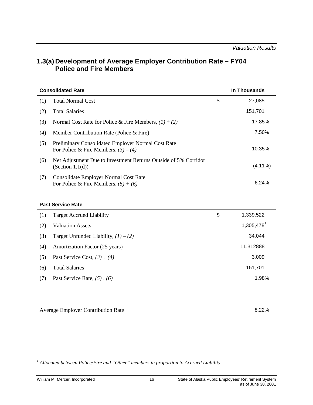# <span id="page-20-0"></span>**1.3(a) Development of Average Employer Contribution Rate – FY04 Police and Fire Members**

|     | <b>Consolidated Rate</b>                                                                     | In Thousands |
|-----|----------------------------------------------------------------------------------------------|--------------|
| (1) | <b>Total Normal Cost</b>                                                                     | \$<br>27,085 |
| (2) | <b>Total Salaries</b>                                                                        | 151,701      |
| (3) | Normal Cost Rate for Police & Fire Members, $(1) \div (2)$                                   | 17.85%       |
| (4) | Member Contribution Rate (Police & Fire)                                                     | 7.50%        |
| (5) | Preliminary Consolidated Employer Normal Cost Rate<br>For Police & Fire Members, $(3) - (4)$ | 10.35%       |
| (6) | Net Adjustment Due to Investment Returns Outside of 5% Corridor<br>(Section $1.1(d)$ )       | $(4.11\%)$   |
| (7) | Consolidate Employer Normal Cost Rate<br>For Police & Fire Members, $(5) + (6)$              | 6.24%        |

#### **Past Service Rate**

| (1) | <b>Target Accrued Liability</b>        | \$<br>1,339,522          |
|-----|----------------------------------------|--------------------------|
| (2) | <b>Valuation Assets</b>                | $1,305,478$ <sup>1</sup> |
| (3) | Target Unfunded Liability, $(1) - (2)$ | 34,044                   |
| (4) | Amortization Factor (25 years)         | 11.312888                |
| (5) | Past Service Cost, $(3) \div (4)$      | 3,009                    |
| (6) | <b>Total Salaries</b>                  | 151,701                  |
| (7) | Past Service Rate, $(5) \div (6)$      | 1.98%                    |
|     |                                        |                          |

Average Employer Contribution Rate 8.22%

<sup>1</sup> Allocated between Police/Fire and "Other" members in proportion to Accrued Liability.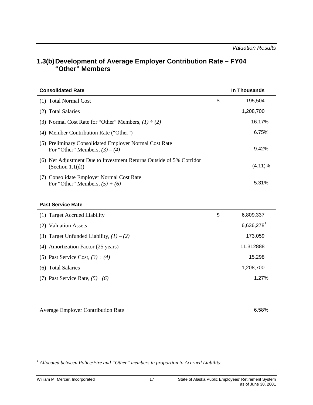# <span id="page-21-0"></span>**1.3(b) Development of Average Employer Contribution Rate – FY04 "Other" Members**

| <b>Consolidated Rate</b>                                                                   | In Thousands  |
|--------------------------------------------------------------------------------------------|---------------|
| (1) Total Normal Cost                                                                      | \$<br>195,504 |
| (2) Total Salaries                                                                         | 1,208,700     |
| (3) Normal Cost Rate for "Other" Members, $(1) \div (2)$                                   | 16.17%        |
| (4) Member Contribution Rate ("Other")                                                     | 6.75%         |
| (5) Preliminary Consolidated Employer Normal Cost Rate<br>For "Other" Members, $(3) - (4)$ | 9.42%         |
| (6) Net Adjustment Due to Investment Returns Outside of 5% Corridor<br>(Section $1.1(d)$ ) | $(4.11)\%$    |
| (7) Consolidate Employer Normal Cost Rate<br>For "Other" Members, $(5) + (6)$              | 5.31%         |

#### **Past Service Rate**

| (1) Target Accrued Liability               | \$<br>6,809,337 |
|--------------------------------------------|-----------------|
| (2) Valuation Assets                       | 6,636,278       |
| (3) Target Unfunded Liability, $(1) - (2)$ | 173,059         |
| (4) Amortization Factor (25 years)         | 11.312888       |
| (5) Past Service Cost, $(3) \div (4)$      | 15,298          |
| (6) Total Salaries                         | 1,208,700       |
| (7) Past Service Rate, $(5) \div (6)$      | 1.27%           |
|                                            |                 |

Average Employer Contribution Rate 6.58%

<sup>1</sup> Allocated between Police/Fire and "Other" members in proportion to Accrued Liability.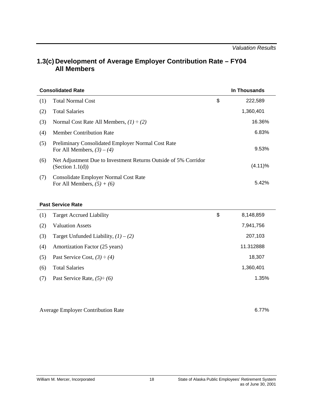# <span id="page-22-0"></span>**1.3(c) Development of Average Employer Contribution Rate – FY04 All Members**

|     | <b>Consolidated Rate</b>                                                               | In Thousands  |
|-----|----------------------------------------------------------------------------------------|---------------|
| (1) | <b>Total Normal Cost</b>                                                               | \$<br>222,589 |
| (2) | <b>Total Salaries</b>                                                                  | 1,360,401     |
| (3) | Normal Cost Rate All Members, $(1) \div (2)$                                           | 16.36%        |
| (4) | <b>Member Contribution Rate</b>                                                        | 6.83%         |
| (5) | Preliminary Consolidated Employer Normal Cost Rate<br>For All Members, $(3) - (4)$     | 9.53%         |
| (6) | Net Adjustment Due to Investment Returns Outside of 5% Corridor<br>(Section $1.1(d)$ ) | $(4.11)\%$    |
| (7) | <b>Consolidate Employer Normal Cost Rate</b><br>For All Members, $(5) + (6)$           | 5.42%         |

#### **Past Service Rate**

| (1) | <b>Target Accrued Liability</b>        | \$<br>8,148,859 |
|-----|----------------------------------------|-----------------|
| (2) | <b>Valuation Assets</b>                | 7,941,756       |
| (3) | Target Unfunded Liability, $(1) - (2)$ | 207,103         |
| (4) | Amortization Factor (25 years)         | 11.312888       |
| (5) | Past Service Cost, $(3) \div (4)$      | 18,307          |
| (6) | <b>Total Salaries</b>                  | 1,360,401       |
| (7) | Past Service Rate, $(5) \div (6)$      | 1.35%           |
|     |                                        |                 |

Average Employer Contribution Rate 6.77%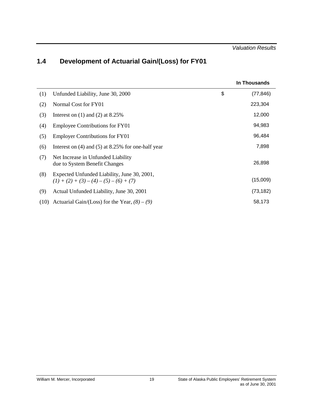# <span id="page-23-0"></span>**1.4 Development of Actuarial Gain/(Loss) for FY01**

|      |                                                                                          | In Thousands    |
|------|------------------------------------------------------------------------------------------|-----------------|
| (1)  | Unfunded Liability, June 30, 2000                                                        | \$<br>(77, 846) |
| (2)  | Normal Cost for FY01                                                                     | 223,304         |
| (3)  | Interest on $(1)$ and $(2)$ at 8.25%                                                     | 12,000          |
| (4)  | <b>Employee Contributions for FY01</b>                                                   | 94,983          |
| (5)  | <b>Employer Contributions for FY01</b>                                                   | 96,484          |
| (6)  | Interest on $(4)$ and $(5)$ at 8.25% for one-half year                                   | 7,898           |
| (7)  | Net Increase in Unfunded Liability<br>due to System Benefit Changes                      | 26,898          |
| (8)  | Expected Unfunded Liability, June 30, 2001,<br>$(1) + (2) + (3) - (4) - (5) - (6) + (7)$ | (15,009)        |
| (9)  | Actual Unfunded Liability, June 30, 2001                                                 | (73, 182)       |
| (10) | Actuarial Gain/(Loss) for the Year, $(8) - (9)$                                          | 58,173          |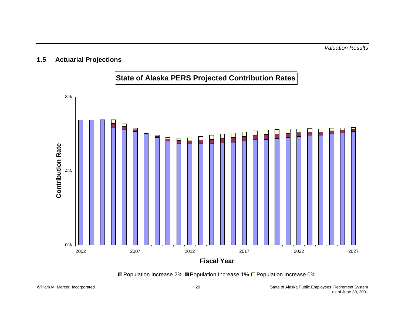# <span id="page-24-0"></span>**1.5 Actuarial Projections**



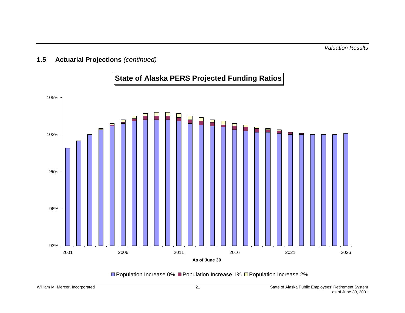# **State of Alaska PERS Projected Funding Ratios**



**□ Population Increase 0% ■ Population Increase 1% □ Population Increase 2%**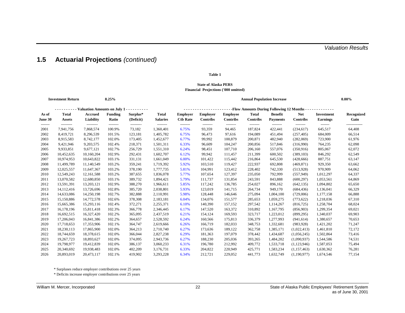# **1.5 Actuarial Projections** *(continued)*

#### **Table 1**

#### **State of Alaska PERS Financial Projections ('000 omitted)**

|                  | <b>Investment Return</b>      |                                 | 8.25%                   |                       |                                 |                                    |                                            |                                    | <b>Annual Population Increase</b> |                                   |                               |                                      | $0.00\%$                |
|------------------|-------------------------------|---------------------------------|-------------------------|-----------------------|---------------------------------|------------------------------------|--------------------------------------------|------------------------------------|-----------------------------------|-----------------------------------|-------------------------------|--------------------------------------|-------------------------|
|                  |                               | - - Valuation Amounts on July 1 |                         | .                     |                                 |                                    | -Flow Amounts During Following 12 Months - |                                    |                                   |                                   |                               |                                      |                         |
| As of<br>June 30 | <b>Total</b><br><b>Assets</b> | <b>Accrued</b><br>Liability     | <b>Funding</b><br>Ratio | Surplus*<br>(Deficit) | <b>Total</b><br><b>Salaries</b> | <b>Employer</b><br><b>Ctb Rate</b> | <b>Employer</b><br>Contribs                | <b>Employee</b><br><b>Contribs</b> | <b>Total</b><br>Contribs          | <b>Benefit</b><br><b>Payments</b> | <b>Net</b><br><b>Contribs</b> | <b>Investment</b><br><b>Earnings</b> | Recognized<br>Gain      |
| -------<br>2001  | ---------<br>7,941,756        | ---------<br>7,868,574          | --------<br>100.9%      | ---------<br>73,182   | --------<br>1,360,401           | --------<br>6.75%                  | --------<br>93,359                         | --------<br>94,465                 | --------<br>187,824               | --------<br>422,441               | --------<br>(234, 617)        | -------<br>645,517                   | -------------<br>64,408 |
| 2002             | 8,419,721                     | 8,296,539                       | 101.5%                  | 123,181               | 1,405,782                       | 6.75%                              | 96,473                                     | 97,616                             | 194,089                           | 451,494                           | (257, 405)                    | 684,009                              | 66,514                  |
| 2003             | 8,915,583                     | 8,742,177                       | 102.0%                  | 173,405               | 1,452,677                       | 6.77%                              | 99,992                                     | 100,879                            | 200,871                           | 482,940                           | (282,069)                     | 723,900                              | 61,976                  |
| 2004             | 9,421,946                     | 9,203,575                       | 102.4%                  | 218,371               | 1,501,311                       | 6.33%                              | 96,609                                     | 104,247                            | 200,856                           | 517,846                           | (316,990)                     | 764,235                              | 62,098                  |
| 2005             | 9,933,851                     | 9,677,121                       | 102.7%                  | 256,729               | 1,551,310                       | 6.24%                              | 98,451                                     | 107,710                            | 206,160                           | 557,076                           | (350, 916)                    | 805,067                              | 62,072                  |
| 2006             | 10,452,635                    | 10,160,204                      | 102.9%                  | 292,431               | 1,602,707                       | 6.12%                              | 99,942                                     | 111,457                            | 211,399                           | 600,502                           | (389, 103)                    | 846,292                              | 62,549                  |
| 2007             | 10,974,953                    | 10,643,822                      | 103.1%                  | 331,131               | 1,661,049                       | 6.00%                              | 101,422                                    | 115,442                            | 216,864                           | 645,530                           | (428, 666)                    | 887,751                              | 63,147                  |
| 2008             | 11,499,789                    | 11,140,549                      | 103.2%                  | 359,241               | 1,719,392                       | 5.92%                              | 103,510                                    | 119,427                            | 222,937                           | 692,808                           | (469, 871)                    | 929,350                              | 63,662                  |
| 2009             | 12,025,557                    | 11,647,367                      | 103.2%                  | 378,190               | 1,777,735                       | 5.81%                              | 104,991                                    | 123,412                            | 228,402                           | 742,330                           | (513,928)                     | 970,909                              | 64,062                  |
| 2010             | 12,549,243                    | 12,161,588                      | 103.2%                  | 387,655               | 1,836,078                       | 5.77%                              | 107,654                                    | 127,397                            | 235,050                           | 792,999                           | (557, 949)                    | 1,012,297                            | 64,337                  |
| 2011             | 13,070,582                    | 12,680,850                      | 103.1%                  | 389,732               | 1,894,421                       | 5.79%                              | 111,737                                    | 131,854                            | 243,591                           | 843,888                           | (600, 297)                    | 1,053,561                            | 64,869                  |
| 2012             | 13,591,391                    | 13,203,121                      | 102.9%                  | 388,270               | 1,966,611                       | 5.85%                              | 117,242                                    | 136,785                            | 254,027                           | 896,162                           | (642, 135)                    | 1,094,802                            | 65,650                  |
| 2013             | 14,112,416                    | 13,726,696                      | 102.8%                  | 385,720               | 2,038,801                       | 5.93%                              | 123,019                                    | 141,715                            | 264,734                           | 949,170                           | (684, 436)                    | 1,136,041                            | 66,329                  |
| 2014             | 14,633,086                    | 14,250,198                      | 102.7%                  | 382,888               | 2,110,991                       | 5.98%                              | 128,448                                    | 146,646                            | 275,094                           | 1,004,100                         | (729,006)                     | 1,177,158                            | 66,888                  |
| 2015             | 15,150,886                    | 14,772,578                      | 102.6%                  | 378,308               | 2,183,181                       | 6.04%                              | 134,076                                    | 151,577                            | 285,653                           | 1,059,275                         | (773, 622)                    | 1,218,036                            | 67,310                  |
| 2016             | 15,665,386                    | 15,293,116                      | 102.4%                  | 372,271               | 2,255,371                       | 6.10%                              | 140,390                                    | 157,152                            | 297,542                           | 1,114,267                         | (816, 725)                    | 1,258,704                            | 68,024                  |
| 2017             | 16,178,196                    | 15,811,418                      | 102.3%                  | 366,778               | 2,346,445                       | 6.17%                              | 147,520                                    | 163,372                            | 310,892                           | 1,167,795                         | (856,903)                     | 1,299,354                            | 69,021                  |
| 2018             | 16,692,515                    | 16,327,420                      | 102.2%                  | 365,095               | 2,437,519                       | 6.21%                              | 154,124                                    | 169,593                            | 323,717                           | 1,223,012                         | (899, 295)                    | 1,340,037                            | 69,903                  |
| 2019             | 17,206,043                    | 16,841,386                      | 102.2%                  | 364,657               | 2,528,592                       | 6.24%                              | 160,566                                    | 175,813                            | 336,379                           | 1,277,993                         | (941, 614)                    | 1,380,657                            | 70,653                  |
| 2020             | 17,718,653                    | 17,353,906                      | 102.1%                  | 364,747               | 2,619,666                       | 6.26%                              | 166,719                                    | 182,033                            | 348,753                           | 1,332,681                         | (983, 928)                    | 1,421,202                            | 71,247                  |
| 2021             | 18,230,113                    | 17,865,900                      | 102.0%                  | 364,213               | 2,710,740                       | 6.27%                              | 173,636                                    | 189,122                            | 362,758                           | 1,385,171                         | (1,022,413)                   | 1,461,810                            | 72,172                  |
| 2022             | 18,744,659                    | 18,378,615                      | 102.0%                  | 366,044               | 2,827,238                       | 6.29%                              | 181,363                                    | 197,079                            | 378,442                           | 1,434,687                         | (1,056,245)                   | 1,502,864                            | 73,416                  |
| 2023             | 19,267,723                    | 18,893,627                      | 102.0%                  | 374,095               | 2,943,736                       | 6.27%                              | 188,230                                    | 205,036                            | 393,265                           | 1,484,202                         | (1,090,937)                   | 1,544,586                            | 74,531                  |
| 2024             | 19,798,977                    | 19,412,839                      | 102.0%                  | 386,137               | 3,060,233                       | 6.31%                              | 196,780                                    | 212,992                            | 409,772                           | 1,533,718                         | (1,123,946)                   | 1,587,053                            | 75,494                  |
| 2025             | 20,340,692                    | 19,938,483                      | 102.0%                  | 402,209               | 3,176,731                       | 6.33%                              | 204,822                                    | 220,949                            | 425,771                           | 1,583,234                         | (1,157,463)                   | 1,630,362                            | 76,281                  |
| 2026             | 20.893.019                    | 20.473.117                      | 102.1%                  | 419.902               | 3.293.228                       | 6.34%                              | 212.721                                    | 229,052                            | 441.773                           | 1.632.749                         | (1,190,977)                   | 1.674.546                            | 77,154                  |

\* Surpluses reduce employer contributions over 25 years

\* Deficits increase employer contributions over 25 years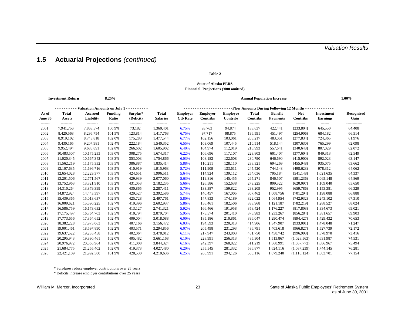# **1.5 Actuarial Projections** *(continued)*

#### **Table 2**

#### **State of Alaska PERS Financial Projections ('000 omitted)**

| <b>Investment Return</b><br>8.25% |                        |                                 |                    |                     |                       |                                            | <b>Annual Population Increase</b> |                    |                     |                     |                        |                    | 1.00%                   |  |
|-----------------------------------|------------------------|---------------------------------|--------------------|---------------------|-----------------------|--------------------------------------------|-----------------------------------|--------------------|---------------------|---------------------|------------------------|--------------------|-------------------------|--|
|                                   |                        | - Valuation Amounts on July 1 - |                    | .                   |                       | -Flow Amounts During Following 12 Months - |                                   |                    |                     |                     |                        |                    |                         |  |
| As of                             | <b>Total</b>           | <b>Accrued</b>                  | <b>Funding</b>     | Surplus*            | <b>Total</b>          | <b>Employer</b>                            | <b>Employer</b>                   | <b>Employee</b>    | <b>Total</b>        | <b>Benefit</b>      | <b>Net</b>             | <b>Investment</b>  | Recognized              |  |
| June 30                           | <b>Assets</b>          | Liability                       | Ratio              | (Deficit)           | <b>Salaries</b>       | <b>Ctb Rate</b>                            | <b>Contribs</b>                   | <b>Contribs</b>    | Contribs            | <b>Payments</b>     | <b>Contribs</b>        | <b>Earnings</b>    | Gain                    |  |
| -------<br>2001                   | ---------<br>7,941,756 | ---------<br>7,868,574          | --------<br>100.9% | ---------<br>73,182 | --------<br>1,360,401 | --------<br>6.75%                          | --------<br>93,763                | --------<br>94,874 | --------<br>188,637 | --------<br>422,441 | --------<br>(233, 804) | -------<br>645,550 | -------------<br>64,408 |  |
| 2002                              | 8,420,568              | 8,296,754                       | 101.5%             | 123,814             | 1,417,763             | 6.75%                                      | 97,717                            | 98,875             | 196,591             | 451,497             | (254,906)              | 684,182            | 66,514                  |  |
| 2003                              | 8,919,102              | 8,743,818                       | 102.0%             | 175,283             | 1,477,544             | 6.77%                                      | 102,156                           | 103,061            | 205,217             | 483,051             | (277, 834)             | 724,365            | 61,976                  |  |
| 2004                              | 9,430,165              | 9,207,981                       | 102.4%             | 222,184             | 1,540,352             | 6.55%                                      | 103,069                           | 107,445            | 210,514             | 518,144             | (307, 630)             | 765,299            | 62,098                  |  |
| 2005                              | 9,952,494              | 9,685,891                       | 102.8%             | 266,602             | 1,605,902             | 6.40%                                      | 104,974                           | 112,019            | 216,993             | 557,641             | (340, 648)             | 807,029            | 62,072                  |  |
| 2006                              | 10,483,507             | 10,175,233                      | 103.0%             | 308,275             | 1,674,317             | 6.22%                                      | 106,696                           | 117,107            | 223,803             | 601,407             | (377, 604)             | 849,313            | 62,549                  |  |
| 2007                              | 11,020,345             | 10,667,342                      | 103.3%             | 353,003             | 1,754,866             | 6.03%                                      | 108,182                           | 122,608            | 230,790             | 646,690             | (415,900)              | 892,023            | 63,147                  |  |
| 2008                              | 11,562,219             | 11,175,332                      | 103.5%             | 386,887             | 1,835,414             | 5.88%                                      | 110,211                           | 128,110            | 238,321             | 694,269             | (455,948)              | 935,075            | 63,662                  |  |
| 2009                              | 12, 107, 635           | 11,696,716                      | 103.5%             | 410,919             | 1,915,963             | 5.72%                                      | 111,909                           | 133,611            | 245,520             | 744,143             | (498, 623)             | 978,312            | 64,062                  |  |
| 2010                              | 12,654,028             | 12,229,377                      | 103.5%             | 424,651             | 1,996,511             | 5.64%                                      | 114,924                           | 139,112            | 254,036             | 795,184             | (541, 148)             | 1,021,635          | 64,337                  |  |
| 2011                              | 13,201,506             | 12,771,567                      | 103.4%             | 429,939             | 2,077,060             | 5.63%                                      | 119,816                           | 145,455            | 265,271             | 846,507             | (581, 236)             | 1,065,148          | 64,869                  |  |
| 2012                              | 13,752,963             | 13,321,910                      | 103.2%             | 431,053             | 2,182,235             | 5.66%                                      | 126,586                           | 152,638            | 279,225             | 899,322             | (620,097)              | 1,109,040          | 65,650                  |  |
| 2013                              | 14,310,264             | 13,879,399                      | 103.1%             | 430,865             | 2,287,411             | 5.70%                                      | 133,387                           | 159,822            | 293,209             | 952,995             | (659, 786)             | 1,153,381          | 66,329                  |  |
| 2014                              | 14,872,924             | 14,443,397                      | 103.0%             | 429,527             | 2,392,586             | 5.74%                                      | 140,457                           | 167,005            | 307,462             | 1,008,756           | (701, 294)             | 1,198,088          | 66,888                  |  |
| 2015                              | 15,439,365             | 15,013,637                      | 102.8%             | 425,728             | 2,497,761             | 5.80%                                      | 147,833                           | 174,189            | 322,022             | 1,064,954           | (742, 932)             | 1,243,102          | 67,310                  |  |
| 2016                              | 16,009,621             | 15,590,225                      | 102.7%             | 419,396             | 2,602,937             | 5.86%                                      | 156,461                           | 182,506            | 338,968             | 1,121,187           | (782, 219)             | 1,288,527          | 68,024                  |  |
| 2017                              | 16,586,759             | 16,173,632                      | 102.6%             | 413,127             | 2,741,321             | 5.92%                                      | 166,466                           | 191,958            | 358,424             | 1,176,227           | (817, 803)             | 1,334,673          | 69,021                  |  |
| 2018                              | 17,175,497             | 16,764,703                      | 102.5%             | 410,794             | 2,879,704             | 5.95%                                      | 175,574                           | 201,410            | 376,983             | 1,233,267           | (856, 284)             | 1,381,657          | 69,903                  |  |
| 2019                              | 17,773,656             | 17,364,652                      | 102.4%             | 409,004             | 3,018,088             | 6.00%                                      | 185,186                           | 210,861            | 396,047             | 1,290,474           | (894, 427)             | 1,429,432          | 70,653                  |  |
| 2020                              | 18,382,228             | 17,975,063                      | 102.3%             | 407,166             | 3,156,472             | 6.03%                                      | 194,593                           | 220,313            | 414,906             | 1,347,907           | (933,001)              | 1,478,048          | 71,247                  |  |
| 2021                              | 19,001,461             | 18,597,890                      | 102.2%             | 403,571             | 3,294,856             | 6.07%                                      | 205,498                           | 231,293            | 436,791             | 1,403,618           | (966, 827)             | 1,527,739          | 72,172                  |  |
| 2022                              | 19,637,522             | 19,235,458                      | 102.1%             | 402,064             | 3,478,012             | 6.11%                                      | 217,947                           | 243,803            | 461,750             | 1,458,742           | (996, 993)             | 1,578,970          | 73,416                  |  |
| 2023                              | 20,295,943             | 19,890,461                      | 102.0%             | 405,482             | 3,661,168             | 6.10%                                      | 228,991                           | 256,313            | 485,304             | 1,513,867           | (1,028,563)            | 1,631,987          | 74,531                  |  |
| 2024                              | 20,976,972             | 20,565,964                      | 102.0%             | 411,008             | 3,844,324             | 6.16%                                      | 242,397                           | 268,822            | 511,219             | 1,568,991           | (1,057,772)            | 1,686,967          | 75,494                  |  |
| 2025                              | 21,684,775             | 21,265,402                      | 102.0%             | 419,373             | 4,027,480             | 6.20%                                      | 255,545                           | 281,332            | 536,877             | 1,624,116           | (1,087,239)            | 1,744,145          | 76,281                  |  |
| 2026                              | 22.421.109             | 21.992.580                      | 101.9%             | 428.530             | 4.210.636             | 6.25%                                      | 268.991                           | 294.126            | 563,116             | 1,679,240           | (1, 116, 124)          | 1,803,701          | 77,154                  |  |

\* Surpluses reduce employer contributions over 25 years

\* Deficits increase employer contributions over 25 years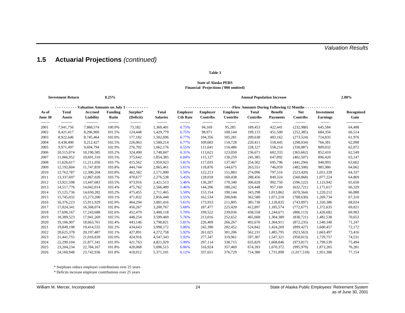# **1.5 Actuarial Projections** *(continued)*

#### **Table 3**

#### **State of Alaska PERS Financial Projections ('000 omitted)**

| <b>Investment Return</b><br>8.25% |                              |                             |                         |                       |                                 | <b>Annual Population Increase</b>                 |                                    |                                    |                          |                                   |                               |                               | 2.00%              |  |
|-----------------------------------|------------------------------|-----------------------------|-------------------------|-----------------------|---------------------------------|---------------------------------------------------|------------------------------------|------------------------------------|--------------------------|-----------------------------------|-------------------------------|-------------------------------|--------------------|--|
|                                   | Valuation Amounts on July 1. |                             |                         | .                     |                                 | - - Flow Amounts During Following 12 Months - - - |                                    |                                    |                          |                                   |                               |                               |                    |  |
| As of<br>June 30                  | <b>Total</b><br>Assets       | <b>Accrued</b><br>Liability | <b>Funding</b><br>Ratio | Surplus*<br>(Deficit) | <b>Total</b><br><b>Salaries</b> | <b>Employer</b><br><b>Ctb Rate</b>                | <b>Employer</b><br><b>Contribs</b> | <b>Employee</b><br><b>Contribs</b> | <b>Total</b><br>Contribs | <b>Benefit</b><br><b>Payments</b> | <b>Net</b><br><b>Contribs</b> | Investment<br><b>Earnings</b> | Recognized<br>Gain |  |
| -------<br>2001                   | ---------<br>7,941,756       | ---------<br>7,868,574      | --------<br>100.9%      | 73,182                | --------<br>1,360,401           | --------<br>6.75%                                 | --------<br>94,169                 | --------<br>95,285                 | --------<br>189,453      | --------<br>422,441               | --------<br>(232,988)         | -------<br>645,584            | 64,408             |  |
| 2002                              | 8,421,417                    | 8,296,969                   | 101.5%                  | 124,448               | 1,429,779                       | 6.75%                                             | 98,971                             | 100,144                            | 199,115                  | 451,500                           | (252, 385)                    | 684,356                       | 66,514             |  |
| 2003                              | 8,922,646                    | 8,745,464                   | 102.0%                  | 177,182               | 1,502,696                       | 6.77%                                             | 104,356                            | 105,281                            | 209,638                  | 483,162                           | (273, 524)                    | 724,835                       | 61,976             |  |
| 2004                              | 9,438,490                    | 9,212,427                   | 102.5%                  | 226,063               | 1,580,214                       | 6.77%                                             | 109,683                            | 110,728                            | 220,411                  | 518,445                           | (298, 034)                    | 766,381                       | 62,098             |  |
| 2005                              | 9,971,497                    | 9,694,794                   | 102.9%                  | 276,702               | 1,662,176                       | 6.55%                                             | 111,641                            | 116,486                            | 228,127                  | 558,214                           | (330,087)                     | 809,032                       | 62,072             |  |
| 2006                              | 10,515,074                   | 10,190,585                  | 103.2%                  | 324,490               | 1,748,847                       | 6.31%                                             | 113,621                            | 123,050                            | 236,671                  | 602,333                           | (365, 662)                    | 852,410                       | 62,549             |  |
| 2007                              | 11,066,952                   | 10,691,310                  | 103.5%                  | 375,642               | 1,854,385                       | 6.04%                                             | 115,127                            | 130,259                            | 245,385                  | 647,892                           | (402, 507)                    | 896,420                       | 63,147             |  |
| 2008                              | 11,626,617                   | 11,211,056                  | 103.7%                  | 415,562               | 1,959,923                       | 5.81%                                             | 117,035                            | 137,467                            | 254,502                  | 695,796                           | (441, 294)                    | 940,993                       | 63,662             |  |
| 2009                              | 12,192,604                   | 11,747,859                  | 103.8%                  | 444,744               | 2,065,461                       | 5.61%                                             | 118,876                            | 144,675                            | 263,551                  | 746,059                           | (482,508)                     | 985,986                       | 64,062             |  |
| 2010                              | 12,762,787                   | 12,300,204                  | 103.8%                  | 462,582               | 2,171,000                       | 5.50%                                             | 122,213                            | 151,883                            | 274,096                  | 797,516                           | (523, 420)                    | 1,031,339                     | 64,337             |  |
| 2011                              | 13,337,697                   | 12,867,020                  | 103.7%                  | 470,677               | 2,276,538                       | 5.45%                                             | 128,018                            | 160,438                            | 288,456                  | 849,324                           | (560, 868)                    | 1,077,224                     | 64,869             |  |
| 2012                              | 13,921,598                   | 13,447,683                  | 103.5%                  | 473,916               | 2,421,513                       | 5.46%                                             | 136,287                            | 170,340                            | 306,628                  | 902,750                           | (596, 122)                    | 1,123,942                     | 65,650             |  |
| 2013                              | 14,517,776                   | 14,042,014                  | 103.4%                  | 475,762               | 2,566,489                       | 5.46%                                             | 144,206                            | 180,242                            | 324,448                  | 957,169                           | (632, 721)                    | 1,171,617                     | 66,329             |  |
| 2014                              | 15, 125, 736                 | 14,650,282                  | 103.2%                  | 475,455               | 2,711,465                       | 5.50%                                             | 153,154                            | 190,144                            | 343,298                  | 1,013,862                         | (670, 564)                    | 1,220,212                     | 66,888             |  |
| 2015                              | 15,745,032                   | 15,273,200                  | 103.1%                  | 471,832               | 2,856,440                       | 5.55%                                             | 162,534                            | 200,046                            | 362,580                  | 1,071,210                         | (708, 630)                    | 1,269,734                     | 67,310             |  |
| 2016                              | 16,376,223                   | 15,911,929                  | 102.9%                  | 464,294               | 3,001,416                       | 5.61%                                             | 173,933                            | 211,805                            | 385,738                  | 1,128,835                         | (743,097)                     | 1,320,386                     | 68,024             |  |
| 2017                              | 17,024,341                   | 16,568,074                  | 102.8%                  | 456,267               | 3,200,767                       | 5.68%                                             | 187,477                            | 225,420                            | 412,897                  | 1,185,574                         | (772, 677)                    | 1,372,635                     | 69,021             |  |
| 2018                              | 17,696,167                   | 17,243,688                  | 102.6%                  | 452,479               | 3,400,118                       | 5.70%                                             | 199,522                            | 239,036                            | 438,558                  | 1,244,671                         | (806, 113)                    | 1,426,682                     | 69,903             |  |
| 2019                              | 18,389,523                   | 17,941,269                  | 102.5%                  | 448,254               | 3,599,469                       | 5.76%                                             | 213,016                            | 252,652                            | 465,668                  | 1,304,389                         | (838, 721)                    | 1,482,538                     | 70,653             |  |
| 2020                              | 19,106,907                   | 18,663,761                  | 102.4%                  | 443,146               | 3,798,821                       | 5.81%                                             | 226,409                            | 266,267                            | 492,676                  | 1,364,911                         | (872, 235)                    | 1,540,340                     | 71,247             |  |
| 2021                              | 19,849,198                   | 19,414,555                  | 102.2%                  | 434,643               | 3,998,172                       | 5.86%                                             | 242,390                            | 282,452                            | 524,842                  | 1,424,269                         | (899, 427)                    | 1,600,457                     | 72,172             |  |
| 2022                              | 20,625,378                   | 20,197,487                  | 102.1%                  | 427,891               | 4,272,758                       | 5.92%                                             | 261,025                            | 301,206                            | 562,231                  | 1,485,795                         | (923, 563)                    | 1,663,497                     | 73,416             |  |
| 2023                              | 21,441,755                   | 21,016,839                  | 102.0%                  | 424,916               | 4,547,343                       | 5.92%                                             | 277,347                            | 319,961                            | 597,307                  | 1,547,321                         | (950, 013)                    | 1,729,757                     | 74,531             |  |
| 2024                              | 22,299,104                   | 21,877,341                  | 101.9%                  | 421,763               | 4,821,929                       | 5.99%                                             | 297,114                            | 338,715                            | 635,829                  | 1,608,846                         | (973, 017)                    | 1,799,539                     | 75,494             |  |
| 2025                              | 23,204,234                   | 22,784,167                  | 101.8%                  | 420,068               | 5,096,515                       | 6.06%                                             | 316,924                            | 357,469                            | 674,393                  | 1,670,372                         | (995, 979)                    | 1,873,265                     | 76,281             |  |
| 2026                              | 24,160,948                   | 23.742.936                  | 101.8%                  | 418.012               | 5.371.101                       | 6.12%                                             | 337,651                            | 376,729                            | 714.380                  | 1,731,898                         | (1,017,518)                   | 1,951,306                     | 77.154             |  |

\* Surpluses reduce employer contributions over 25 years

\* Deficits increase employer contributions over 25 years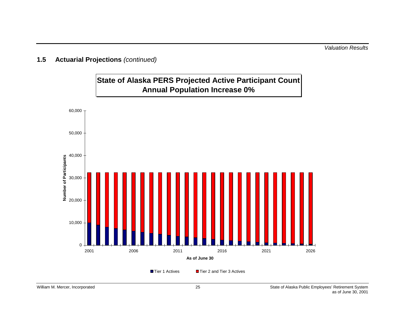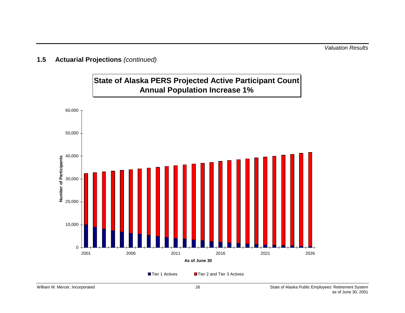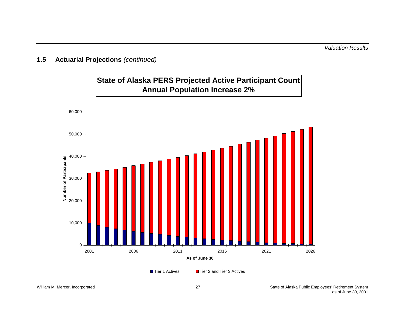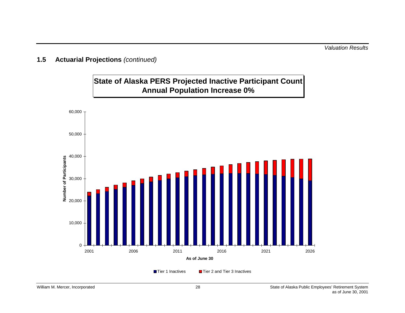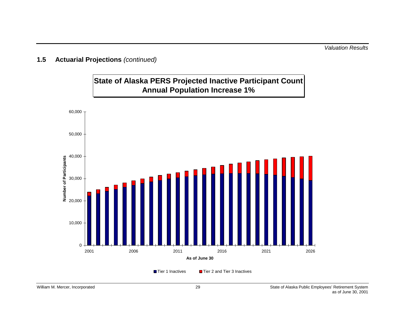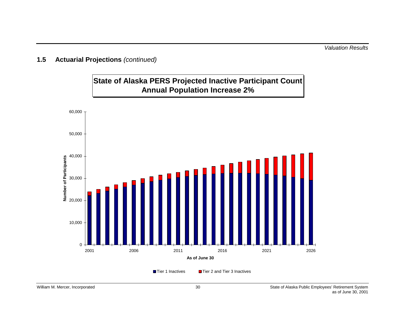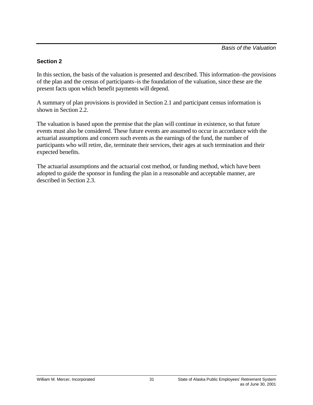### **Section 2**

In this section, the basis of the valuation is presented and described. This information–the provisions of the plan and the census of participants–is the foundation of the valuation, since these are the present facts upon which benefit payments will depend.

A summary of plan provisions is provided in Section 2.1 and participant census information is shown in Section 2.2.

The valuation is based upon the premise that the plan will continue in existence, so that future events must also be considered. These future events are assumed to occur in accordance with the actuarial assumptions and concern such events as the earnings of the fund, the number of participants who will retire, die, terminate their services, their ages at such termination and their expected benefits.

The actuarial assumptions and the actuarial cost method, or funding method, which have been adopted to guide the sponsor in funding the plan in a reasonable and acceptable manner, are described in Section 2.3.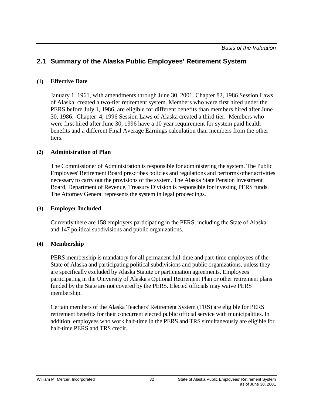### **(1) Effective Date**

January 1, 1961, with amendments through June 30, 2001. Chapter 82, 1986 Session Laws of Alaska, created a two-tier retirement system. Members who were first hired under the PERS before July 1, 1986, are eligible for different benefits than members hired after June 30, 1986. Chapter 4, 1996 Session Laws of Alaska created a third tier. Members who were first hired after June 30, 1996 have a 10 year requirement for system paid health benefits and a different Final Average Earnings calculation than members from the other tiers.

## **(2) Administration of Plan**

The Commissioner of Administration is responsible for administering the system. The Public Employees' Retirement Board prescribes policies and regulations and performs other activities necessary to carry out the provisions of the system. The Alaska State Pension Investment Board, Department of Revenue, Treasury Division is responsible for investing PERS funds. The Attorney General represents the system in legal proceedings.

#### **(3) Employer Included**

Currently there are 158 employers participating in the PERS, including the State of Alaska and 147 political subdivisions and public organizations.

#### **(4) Membership**

PERS membership is mandatory for all permanent full-time and part-time employees of the State of Alaska and participating political subdivisions and public organizations, unless they are specifically excluded by Alaska Statute or participation agreements. Employees participating in the University of Alaska's Optional Retirement Plan or other retirement plans funded by the State are not covered by the PERS. Elected officials may waive PERS membership.

Certain members of the Alaska Teachers' Retirement System (TRS) are eligible for PERS retirement benefits for their concurrent elected public official service with municipalities. In addition, employees who work half-time in the PERS and TRS simultaneously are eligible for half-time PERS and TRS credit.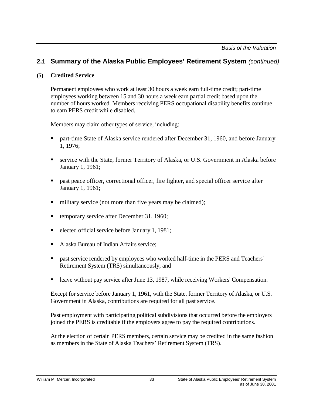### **(5) Credited Service**

Permanent employees who work at least 30 hours a week earn full-time credit; part-time employees working between 15 and 30 hours a week earn partial credit based upon the number of hours worked. Members receiving PERS occupational disability benefits continue to earn PERS credit while disabled.

Members may claim other types of service, including:

- **Part-time State of Alaska service rendered after December 31, 1960, and before January** 1, 1976;
- service with the State, former Territory of Alaska, or U.S. Government in Alaska before January 1, 1961;
- past peace officer, correctional officer, fire fighter, and special officer service after January 1, 1961;
- military service (not more than five years may be claimed);
- temporary service after December 31, 1960;
- elected official service before January 1, 1981;
- Alaska Bureau of Indian Affairs service;
- **Past service rendered by employees who worked half-time in the PERS and Teachers'** Retirement System (TRS) simultaneously; and
- leave without pay service after June 13, 1987, while receiving Workers' Compensation.

Except for service before January 1, 1961, with the State, former Territory of Alaska, or U.S. Government in Alaska, contributions are required for all past service.

Past employment with participating political subdivisions that occurred before the employers joined the PERS is creditable if the employers agree to pay the required contributions.

At the election of certain PERS members, certain service may be credited in the same fashion as members in the State of Alaska Teachers' Retirement System (TRS).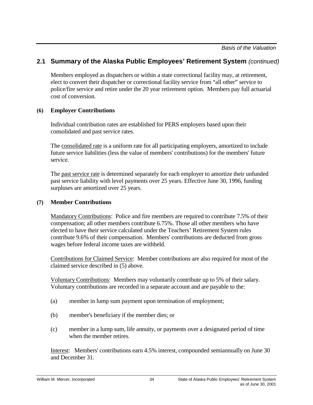Members employed as dispatchers or within a state correctional facility may, at retirement, elect to convert their dispatcher or correctional facility service from "all other" service to police/fire service and retire under the 20 year retirement option. Members pay full actuarial cost of conversion.

#### **(6) Employer Contributions**

Individual contribution rates are established for PERS employers based upon their consolidated and past service rates.

The consolidated rate is a uniform rate for all participating employers, amortized to include future service liabilities (less the value of members' contributions) for the members' future service.

The past service rate is determined separately for each employer to amortize their unfunded past service liability with level payments over 25 years. Effective June 30, 1996, funding surpluses are amortized over 25 years.

### **(7) Member Contributions**

Mandatory Contributions: Police and fire members are required to contribute 7.5% of their compensation; all other members contribute 6.75%. Those all other members who have elected to have their service calculated under the Teachers' Retirement System rules contribute 9.6% of their compensation. Members' contributions are deducted from gross wages before federal income taxes are withheld.

Contributions for Claimed Service: Member contributions are also required for most of the claimed service described in (5) above.

Voluntary Contributions: Members may voluntarily contribute up to 5% of their salary. Voluntary contributions are recorded in a separate account and are payable to the:

- (a) member in lump sum payment upon termination of employment;
- (b) member's beneficiary if the member dies; or
- (c) member in a lump sum, life annuity, or payments over a designated period of time when the member retires.

Interest: Members' contributions earn 4.5% interest, compounded semiannually on June 30 and December 31.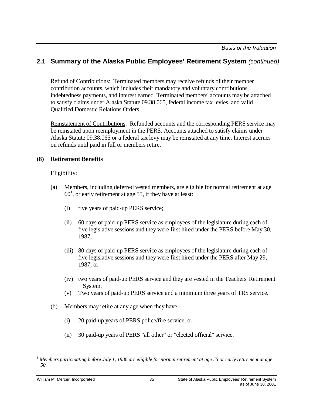Refund of Contributions: Terminated members may receive refunds of their member contribution accounts, which includes their mandatory and voluntary contributions, indebtedness payments, and interest earned. Terminated members' accounts may be attached to satisfy claims under Alaska Statute 09.38.065, federal income tax levies, and valid Qualified Domestic Relations Orders.

Reinstatement of Contributions: Refunded accounts and the corresponding PERS service may be reinstated upon reemployment in the PERS. Accounts attached to satisfy claims under Alaska Statute 09.38.065 or a federal tax levy may be reinstated at any time. Interest accrues on refunds until paid in full or members retire.

## **(8) Retirement Benefits**

## Eligibility:

- (a) Members, including deferred vested members, are eligible for normal retirement at age  $60<sup>1</sup>$ , or early retirement at age 55, if they have at least:
	- (i) five years of paid-up PERS service;
	- (ii) 60 days of paid-up PERS service as employees of the legislature during each of five legislative sessions and they were first hired under the PERS before May 30, 1987;
	- (iii) 80 days of paid-up PERS service as employees of the legislature during each of five legislative sessions and they were first hired under the PERS after May 29, 1987; or
	- (iv) two years of paid-up PERS service and they are vested in the Teachers' Retirement System.
	- (v) Two years of paid-up PERS service and a minimum three years of TRS service.
- (b) Members may retire at any age when they have:
	- (i) 20 paid-up years of PERS police/fire service; or
	- (ii) 30 paid-up years of PERS "all other" or "elected official" service.

*<sup>1</sup> Members participating before July 1, 1986 are eligible for normal retirement at age 55 or early retirement at age 50.*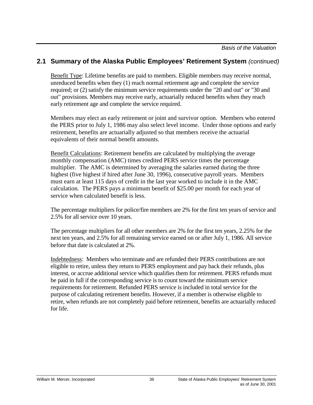Benefit Type: Lifetime benefits are paid to members. Eligible members may receive normal, unreduced benefits when they (1) reach normal retirement age and complete the service required; or (2) satisfy the minimum service requirements under the "20 and out" or "30 and out" provisions. Members may receive early, actuarially reduced benefits when they reach early retirement age and complete the service required.

Members may elect an early retirement or joint and survivor option. Members who entered the PERS prior to July 1, 1986 may also select level income. Under those options and early retirement, benefits are actuarially adjusted so that members receive the actuarial equivalents of their normal benefit amounts.

Benefit Calculations: Retirement benefits are calculated by multiplying the average monthly compensation (AMC) times credited PERS service times the percentage multiplier. The AMC is determined by averaging the salaries earned during the three highest (five highest if hired after June 30, 1996), consecutive payroll years. Members must earn at least 115 days of credit in the last year worked to include it in the AMC calculation. The PERS pays a minimum benefit of \$25.00 per month for each year of service when calculated benefit is less.

The percentage multipliers for police/fire members are 2% for the first ten years of service and 2.5% for all service over 10 years.

The percentage multipliers for all other members are 2% for the first ten years, 2.25% for the next ten years, and 2.5% for all remaining service earned on or after July 1, 1986. All service before that date is calculated at 2%.

Indebtedness: Members who terminate and are refunded their PERS contributions are not eligible to retire, unless they return to PERS employment and pay back their refunds, plus interest, or accrue additional service which qualifies them for retirement. PERS refunds must be paid in full if the corresponding service is to count toward the minimum service requirements for retirement. Refunded PERS service is included in total service for the purpose of calculating retirement benefits. However, if a member is otherwise eligible to retire, when refunds are not completely paid before retirement, benefits are actuarially reduced for life.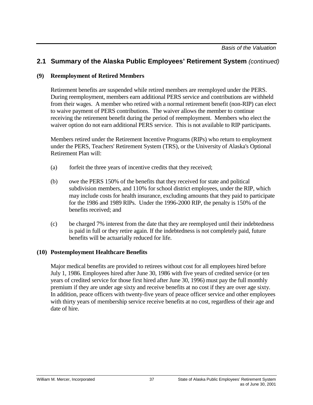## **(9) Reemployment of Retired Members**

Retirement benefits are suspended while retired members are reemployed under the PERS. During reemployment, members earn additional PERS service and contributions are withheld from their wages. A member who retired with a normal retirement benefit (non-RIP) can elect to waive payment of PERS contributions. The waiver allows the member to continue receiving the retirement benefit during the period of reemployment. Members who elect the waiver option do not earn additional PERS service. This is not available to RIP participants.

Members retired under the Retirement Incentive Programs (RIPs) who return to employment under the PERS, Teachers' Retirement System (TRS), or the University of Alaska's Optional Retirement Plan will:

- (a) forfeit the three years of incentive credits that they received;
- (b) owe the PERS 150% of the benefits that they received for state and political subdivision members, and 110% for school district employees, under the RIP, which may include costs for health insurance, excluding amounts that they paid to participate for the 1986 and 1989 RIPs. Under the 1996-2000 RIP, the penalty is 150% of the benefits received; and
- (c) be charged 7% interest from the date that they are reemployed until their indebtedness is paid in full or they retire again. If the indebtedness is not completely paid, future benefits will be actuarially reduced for life.

#### **(10) Postemployment Healthcare Benefits**

Major medical benefits are provided to retirees without cost for all employees hired before July 1, 1986. Employees hired after June 30, 1986 with five years of credited service (or ten years of credited service for those first hired after June 30, 1996) must pay the full monthly premium if they are under age sixty and receive benefits at no cost if they are over age sixty. In addition, peace officers with twenty-five years of peace officer service and other employees with thirty years of membership service receive benefits at no cost, regardless of their age and date of hire.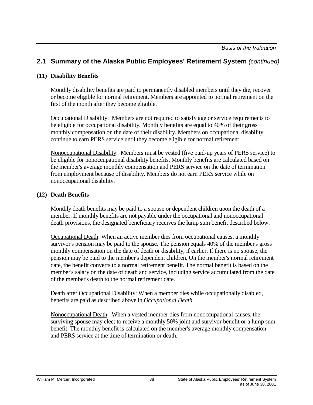## **(11) Disability Benefits**

Monthly disability benefits are paid to permanently disabled members until they die, recover or become eligible for normal retirement. Members are appointed to normal retirement on the first of the month after they become eligible.

Occupational Disability: Members are not required to satisfy age or service requirements to be eligible for occupational disability. Monthly benefits are equal to 40% of their gross monthly compensation on the date of their disability. Members on occupational disability continue to earn PERS service until they become eligible for normal retirement.

Nonoccupational Disability: Members must be vested (five paid-up years of PERS service) to be eligible for nonoccupational disability benefits. Monthly benefits are calculated based on the member's average monthly compensation and PERS service on the date of termination from employment because of disability. Members do not earn PERS service while on nonoccupational disability.

#### **(12) Death Benefits**

Monthly death benefits may be paid to a spouse or dependent children upon the death of a member. If monthly benefits are not payable under the occupational and nonoccupational death provisions, the designated beneficiary receives the lump sum benefit described below.

Occupational Death: When an active member dies from occupational causes, a monthly survivor's pension may be paid to the spouse. The pension equals 40% of the member's gross monthly compensation on the date of death or disability, if earlier. If there is no spouse, the pension may be paid to the member's dependent children. On the member's normal retirement date, the benefit converts to a normal retirement benefit. The normal benefit is based on the member's salary on the date of death and service, including service accumulated from the date of the member's death to the normal retirement date.

Death after Occupational Disability: When a member dies while occupationally disabled, benefits are paid as described above in *Occupational Death.*

Nonoccupational Death: When a vested member dies from nonoccupational causes, the surviving spouse may elect to receive a monthly 50% joint and survivor benefit or a lump sum benefit. The monthly benefit is calculated on the member's average monthly compensation and PERS service at the time of termination or death.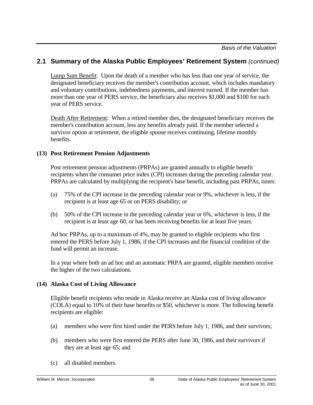Lump Sum Benefit: Upon the death of a member who has less than one year of service, the designated beneficiary receives the member's contribution account, which includes mandatory and voluntary contributions, indebtedness payments, and interest earned. If the member has more than one year of PERS service, the beneficiary also receives \$1,000 and \$100 for each year of PERS service.

Death After Retirement: When a retired member dies, the designated beneficiary receives the member's contribution account, less any benefits already paid. If the member selected a survivor option at retirement, the eligible spouse receives continuing, lifetime monthly benefits.

#### **(13) Post Retirement Pension Adjustments**

Post retirement pension adjustments (PRPAs) are granted annually to eligible benefit recipients when the consumer price index (CPI) increases during the preceding calendar year. PRPAs are calculated by multiplying the recipient's base benefit, including past PRPAs, times:

- (a) 75% of the CPI increase in the preceding calendar year or 9%, whichever is less, if the recipient is at least age 65 or on PERS disability; or
- (b) 50% of the CPI increase in the preceding calendar year or 6%, whichever is less, if the recipient is at least age 60, or has been receiving benefits for at least five years.

Ad hoc PRPAs, up to a maximum of 4%, may be granted to eligible recipients who first entered the PERS before July 1, 1986, if the CPI increases and the financial condition of the fund will permit an increase.

In a year where both an ad hoc and an automatic PRPA are granted, eligible members receive the higher of the two calculations.

## **(14) Alaska Cost of Living Allowance**

Eligible benefit recipients who reside in Alaska receive an Alaska cost of living allowance (COLA) equal to 10% of their base benefits or \$50, whichever is more. The following benefit recipients are eligible:

- (a) members who were first hired under the PERS before July 1, 1986, and their survivors;
- (b) members who were first entered the PERS after June 30, 1986, and their survivors if they are at least age 65; and
- (c) all disabled members.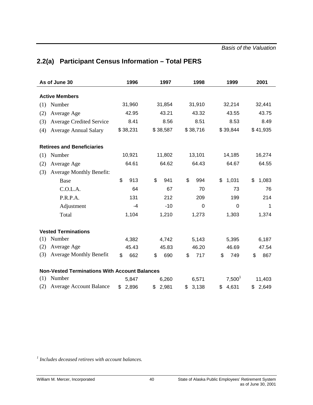| As of June 30                       |                                                      | 1996        | 1997 |          | 1998 |             | 1999        |    | 2001     |
|-------------------------------------|------------------------------------------------------|-------------|------|----------|------|-------------|-------------|----|----------|
| <b>Active Members</b>               |                                                      |             |      |          |      |             |             |    |          |
| Number<br>(1)                       |                                                      | 31,960      |      | 31,854   |      | 31,910      | 32,214      |    | 32,441   |
| (2)<br>Average Age                  |                                                      | 42.95       |      | 43.21    |      | 43.32       | 43.55       |    | 43.75    |
| (3)                                 | <b>Average Credited Service</b>                      | 8.41        |      | 8.56     |      | 8.51        | 8.53        |    | 8.49     |
| (4)<br><b>Average Annual Salary</b> |                                                      | \$38,231    |      | \$38,587 |      | \$38,716    | \$39,844    |    | \$41,935 |
| <b>Retirees and Beneficiaries</b>   |                                                      |             |      |          |      |             |             |    |          |
| (1)<br>Number                       |                                                      | 10,921      |      | 11,802   |      | 13,101      | 14,185      |    | 16,274   |
| (2)<br>Average Age                  |                                                      | 64.61       |      | 64.62    |      | 64.43       | 64.67       |    | 64.55    |
| (3)                                 | <b>Average Monthly Benefit:</b>                      |             |      |          |      |             |             |    |          |
| Base                                |                                                      | \$<br>913   | \$   | 941      | \$   | 994         | \$<br>1,031 | \$ | 1,083    |
| C.O.L.A.                            |                                                      | 64          |      | 67       |      | 70          | 73          |    | 76       |
| P.R.P.A.                            |                                                      | 131         |      | 212      |      | 209         | 199         |    | 214      |
| Adjustment                          |                                                      | $-4$        |      | $-10$    |      | $\mathbf 0$ | $\mathbf 0$ |    | 1        |
| Total                               |                                                      | 1,104       |      | 1,210    |      | 1,273       | 1,303       |    | 1,374    |
| <b>Vested Terminations</b>          |                                                      |             |      |          |      |             |             |    |          |
| Number<br>(1)                       |                                                      | 4,382       |      | 4,742    |      | 5,143       | 5,395       |    | 6,187    |
| (2)<br>Average Age                  |                                                      | 45.43       |      | 45.83    |      | 46.20       | 46.69       |    | 47.54    |
| (3)                                 | <b>Average Monthly Benefit</b>                       | \$<br>662   | \$   | 690      | \$   | 717         | \$<br>749   | \$ | 867      |
|                                     | <b>Non-Vested Terminations With Account Balances</b> |             |      |          |      |             |             |    |          |
| Number<br>(1)                       |                                                      | 5,847       |      | 6,260    |      | 6,571       | $7,500^1$   |    | 11,403   |
| (2)                                 | <b>Average Account Balance</b>                       | \$<br>2,896 | \$   | 2,981    | \$   | 3,138       | \$<br>4,631 |    | \$2,649  |

# **2.2(a) Participant Census Information – Total PERS**

*1 Includes deceased retirees with account balances.*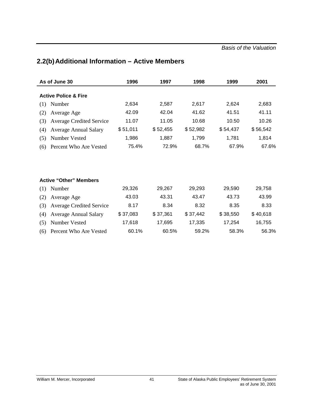| As of June 30                          | 1996     | 1997     | 1998     | 1999     | 2001     |
|----------------------------------------|----------|----------|----------|----------|----------|
| <b>Active Police &amp; Fire</b>        |          |          |          |          |          |
| Number<br>(1)                          | 2,634    | 2,587    | 2,617    | 2,624    | 2,683    |
| (2)<br>Average Age                     | 42.09    | 42.04    | 41.62    | 41.51    | 41.11    |
| (3)<br><b>Average Credited Service</b> | 11.07    | 11.05    | 10.68    | 10.50    | 10.26    |
| (4)<br><b>Average Annual Salary</b>    | \$51,011 | \$52,455 | \$52,982 | \$54,437 | \$56,542 |
| (5)<br>Number Vested                   | 1,986    | 1,887    | 1,799    | 1,781    | 1,814    |
| Percent Who Are Vested<br>(6)          | 75.4%    | 72.9%    | 68.7%    | 67.9%    | 67.6%    |
|                                        |          |          |          |          |          |
| <b>Active "Other" Members</b>          |          |          |          |          |          |
| Number<br>(1)                          | 29,326   | 29,267   | 29,293   | 29,590   | 29,758   |
| (2)<br>Average Age                     | 43.03    | 43.31    | 43.47    | 43.73    | 43.99    |
| (3)<br><b>Average Credited Service</b> | 8.17     | 8.34     | 8.32     | 8.35     | 8.33     |
| <b>Average Annual Salary</b><br>(4)    | \$37,083 | \$37,361 | \$37,442 | \$38,550 | \$40,618 |
| (5)<br>Number Vested                   | 17,618   | 17,695   | 17,335   | 17,254   | 16,755   |
| Percent Who Are Vested<br>(6)          | 60.1%    | 60.5%    | 59.2%    | 58.3%    | 56.3%    |

# **2.2(b) Additional Information – Active Members**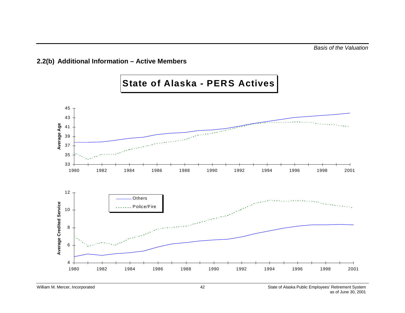## **2.2(b) Additional Information – Active Members**

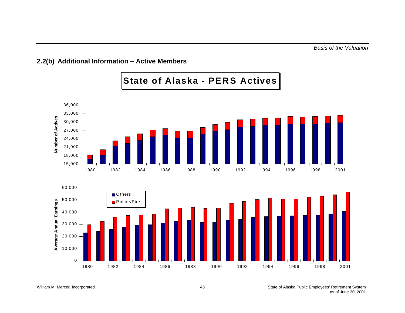## **2.2(b) Additional Information – Active Members**

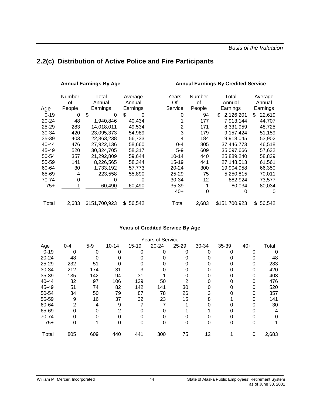# **2.2(c) Distribution of Active Police and Fire Participants**

#### Annual Earnings By Age **Annual Earnings By Credited Service**

|          | Number   | Total         | Average  | Years     | Number | Total           | Average      |
|----------|----------|---------------|----------|-----------|--------|-----------------|--------------|
|          | οf       | Annual        | Annual   | Of        | 0f     | Annual          | Annual       |
| Age      | People   | Earnings      | Earnings | Service   | People | Earnings        | Earnings     |
| $0 - 19$ | $\Omega$ | \$<br>0       | \$<br>0  | 0         | 94     | 2,126,201<br>\$ | 22,619<br>\$ |
| 20-24    | 48       | 1,940,846     | 40,434   |           | 177    | 7,913,144       | 44,707       |
| 25-29    | 283      | 14,018,011    | 49,534   | 2         | 171    | 8,331,959       | 48,725       |
| 30-34    | 420      | 23,095,373    | 54,989   | 3         | 179    | 9,157,424       | 51,159       |
| 35-39    | 403      | 22,863,238    | 56,733   | 4         | 184    | 9,918,045       | 53,902       |
| 40-44    | 476      | 27,922,136    | 58,660   | $0 - 4$   | 805    | 37,446,773      | 46,518       |
| 45-49    | 520      | 30,324,705    | 58,317   | $5-9$     | 609    | 35,097,666      | 57,632       |
| 50-54    | 357      | 21,292,809    | 59,644   | $10 - 14$ | 440    | 25,889,240      | 58,839       |
| 55-59    | 141      | 8,226,565     | 58,344   | $15 - 19$ | 441    | 27,148,513      | 61,561       |
| 60-64    | 30       | 1,733,192     | 57,773   | 20-24     | 300    | 19,904,958      | 66,350       |
| 65-69    | 4        | 223,558       | 55,890   | $25 - 29$ | 75     | 5,250,815       | 70,011       |
| 70-74    | 0        | 0             |          | 30-34     | 12     | 882,924         | 73,577       |
| $75+$    |          | 60,490        | 60,490   | 35-39     |        | 80,034          | 80,034       |
|          |          |               |          | $40+$     | 0      |                 | 0            |
| Total    | 2,683    | \$151,700,923 | \$56,542 | Total     | 2,683  | \$151,700,923   | \$<br>56,542 |

#### **Years of Credited Service By Age**

|           |         |       |           |           | <b>Years of Service</b> |       |       |       |       |       |
|-----------|---------|-------|-----------|-----------|-------------------------|-------|-------|-------|-------|-------|
| Age       | $0 - 4$ | $5-9$ | $10 - 14$ | $15 - 19$ | $20 - 24$               | 25-29 | 30-34 | 35-39 | $40+$ | Total |
| $0 - 19$  | 0       | 0     | 0         | 0         | 0                       | 0     | 0     | ი     | ∩     |       |
| 20-24     | 48      |       |           |           |                         |       |       |       |       | 48    |
| $25 - 29$ | 232     | 51    |           |           |                         |       |       |       | 0     | 283   |
| 30-34     | 212     | 174   | 31        | 3         |                         | 0     | 0     |       | 0     | 420   |
| 35-39     | 135     | 142   | 94        | 31        |                         | 0     |       |       | 0     | 403   |
| 40-44     | 82      | 97    | 106       | 139       | 50                      | 2     |       |       |       | 476   |
| 45-49     | 51      | 74    | 82        | 142       | 141                     | 30    |       |       |       | 520   |
| 50-54     | 34      | 50    | 79        | 87        | 78                      | 26    |       |       | 0     | 357   |
| 55-59     | 9       | 16    | 37        | 32        | 23                      | 15    | 8     |       | 0     | 141   |
| 60-64     | 2       | 4     | 9         |           |                         |       |       |       |       | 30    |
| 65-69     | 0       |       | 2         |           |                         |       |       |       |       | 4     |
| 70-74     | 0       |       |           |           |                         |       |       |       |       |       |
| $75+$     | 0       |       |           |           |                         | 0     |       |       |       |       |
|           |         |       |           |           |                         |       |       |       |       |       |
| Total     | 805     | 609   | 440       | 441       | 300                     | 75    | 12    |       | 0     | 2,683 |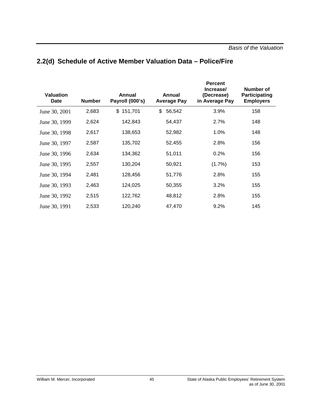| <b>Valuation</b><br><b>Date</b> | <b>Number</b> | Annual<br>Payroll (000's) | Annual<br><b>Average Pay</b> | <b>Percent</b><br>Increase/<br>(Decrease)<br>in Average Pay | <b>Number of</b><br>Participating<br><b>Employers</b> |
|---------------------------------|---------------|---------------------------|------------------------------|-------------------------------------------------------------|-------------------------------------------------------|
| June 30, 2001                   | 2,683         | \$<br>151,701             | \$<br>56,542                 | 3.9%                                                        | 158                                                   |
| June 30, 1999                   | 2,624         | 142,843                   | 54,437                       | 2.7%                                                        | 148                                                   |
| June 30, 1998                   | 2,617         | 138,653                   | 52,982                       | 1.0%                                                        | 148                                                   |
| June 30, 1997                   | 2,587         | 135,702                   | 52,455                       | 2.8%                                                        | 156                                                   |
| June 30, 1996                   | 2,634         | 134,362                   | 51,011                       | 0.2%                                                        | 156                                                   |
| June 30, 1995                   | 2,557         | 130,204                   | 50,921                       | (1.7%)                                                      | 153                                                   |
| June 30, 1994                   | 2,481         | 128,456                   | 51,776                       | 2.8%                                                        | 155                                                   |
| June 30, 1993                   | 2,463         | 124,025                   | 50,355                       | 3.2%                                                        | 155                                                   |
| June 30, 1992                   | 2,515         | 122,762                   | 48,812                       | 2.8%                                                        | 155                                                   |
| June 30, 1991                   | 2,533         | 120,240                   | 47,470                       | 9.2%                                                        | 145                                                   |

## **2.2(d) Schedule of Active Member Valuation Data – Police/Fire**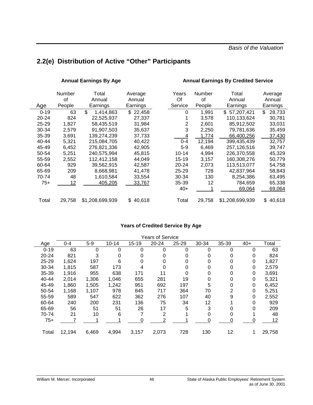*Basis of the Valuation*

# **2.2(e) Distribution of Active "Other" Participants**

#### Annual Earnings By Age **Annual Earnings By Credited Service**

|           | Number<br>οf | Total<br>Annual | Average<br>Annual | Years<br>Of | Number<br>οf | Total<br>Annual | Average<br>Annual |
|-----------|--------------|-----------------|-------------------|-------------|--------------|-----------------|-------------------|
| Age       | People       | Earnings        | Earnings          | Service     | People       | Earnings        | Earnings          |
| $0 - 19$  | 63           | \$<br>1,414,863 | \$22,458          | 0           | 1,991        | \$57,207,421    | \$.<br>28.733     |
| 20-24     | 824          | 22,525,937      | 27,337            |             | 3,578        | 110,133,624     | 30,781            |
| 25-29     | 1,827        | 58,435,519      | 31,984            | 2           | 2,601        | 85,912,502      | 33,031            |
| 30-34     | 2,579        | 91,907,503      | 35,637            | 3           | 2,250        | 79,781,636      | 35,459            |
| $35 - 39$ | 3,691        | 139,274,239     | 37,733            | 4           | 1,774        | 66,400,256      | 37,430            |
| 40-44     | 5,321        | 215,084,705     | 40,422            | $0 - 4$     | 12,194       | 399,435,439     | 32,757            |
| 45-49     | 6,452        | 276,821,336     | 42,905            | $5-9$       | 6,469        | 257,126,516     | 39,747            |
| 50-54     | 5,251        | 240,575,994     | 45,815            | $10 - 14$   | 4,994        | 226,370,558     | 45,329            |
| 55-59     | 2,552        | 112,412,158     | 44,049            | 15-19       | 3,157        | 160,308,276     | 50,779            |
| 60-64     | 929          | 39,562,915      | 42,587            | $20 - 24$   | 2,073        | 113,513,077     | 54,758            |
| 65-69     | 209          | 8,668,981       | 41,478            | $25 - 29$   | 728          | 42,837,964      | 58,843            |
| 70-74     | 48           | 1,610,584       | 33,554            | 30-34       | 130          | 8,254,386       | 63,495            |
| 75+       | 12           | 405,205         | 33,767            | 35-39       | 12           | 784,659         | 65,338            |
|           |              |                 |                   | 40+         |              | 69,064          | 69,064            |
| Total     | 29,758       | \$1,208,699,939 | \$40,618          | Total       | 29,758       | \$1,208,699,939 | 40.618<br>\$      |

#### **Years of Credited Service By Age**

|           |         |       |           |           | <b>Years of Service</b> |       |          |       |       |        |
|-----------|---------|-------|-----------|-----------|-------------------------|-------|----------|-------|-------|--------|
| Age       | $0 - 4$ | $5-9$ | $10 - 14$ | $15 - 19$ | 20-24                   | 25-29 | 30-34    | 35-39 | $40+$ | Total  |
| $0 - 19$  | 63      | 0     | 0         | 0         | $\Omega$                | 0     | $\Omega$ | 0     | 0     | 63     |
| 20-24     | 821     | 3     | 0         | 0         | 0                       | 0     |          | 0     | 0     | 824    |
| $25 - 29$ | 1,624   | 197   | 6         | 0         | 0                       | 0     |          | 0     | 0     | 1,827  |
| 30-34     | 1,815   | 587   | 173       | 4         |                         | 0     |          | 0     | 0     | 2,579  |
| 35-39     | 1,916   | 955   | 638       | 171       | 11                      | 0     |          | 0     | 0     | 3,691  |
| 40-44     | 2,014   | 1,306 | 1,046     | 655       | 281                     | 19    |          | 0     | 0     | 5,321  |
| 45-49     | 1,860   | 1,505 | 1,242     | 951       | 692                     | 197   | 5        | 0     | 0     | 6,452  |
| 50-54     | 1,168   | 1,107 | 978       | 845       | 717                     | 364   | 70       | 2     | 0     | 5,251  |
| 55-59     | 589     | 547   | 622       | 362       | 276                     | 107   | 40       | 9     | 0     | 2,552  |
| 60-64     | 240     | 200   | 231       | 136       | 75                      | 34    | 12       |       | 0     | 929    |
| 65-69     | 56      | 51    | 51        | 26        | 17                      | 5     | 3        | 0     | 0     | 209    |
| 70-74     | 21      | 10    | 6         |           | 2                       |       |          | 0     |       | 48     |
| $75+$     |         |       |           |           |                         |       |          | 0     |       | 12     |
|           |         |       |           |           |                         |       |          |       |       |        |
| Total     | 12,194  | 6,469 | 4,994     | 3,157     | 2,073                   | 728   | 130      | 12    |       | 29,758 |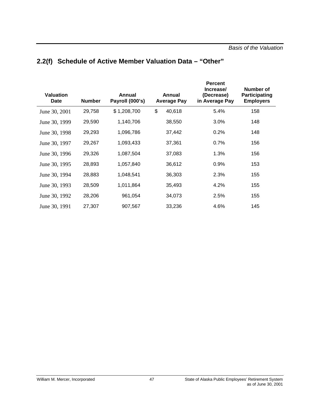| <b>Valuation</b><br><b>Date</b> | <b>Number</b> | Annual<br>Payroll (000's) | Annual<br><b>Average Pay</b> | <b>Percent</b><br>Increase/<br>(Decrease)<br>in Average Pay | <b>Number of</b><br>Participating<br><b>Employers</b> |
|---------------------------------|---------------|---------------------------|------------------------------|-------------------------------------------------------------|-------------------------------------------------------|
| June 30, 2001                   | 29,758        | \$1,208,700               | \$<br>40,618                 | 5.4%                                                        | 158                                                   |
| June 30, 1999                   | 29,590        | 1,140,706                 | 38,550                       | 3.0%                                                        | 148                                                   |
| June 30, 1998                   | 29,293        | 1,096,786                 | 37,442                       | 0.2%                                                        | 148                                                   |
| June 30, 1997                   | 29,267        | 1,093,433                 | 37,361                       | 0.7%                                                        | 156                                                   |
| June 30, 1996                   | 29,326        | 1,087,504                 | 37,083                       | 1.3%                                                        | 156                                                   |
| June 30, 1995                   | 28,893        | 1,057,840                 | 36,612                       | 0.9%                                                        | 153                                                   |
| June 30, 1994                   | 28,883        | 1,048,541                 | 36,303                       | 2.3%                                                        | 155                                                   |
| June 30, 1993                   | 28,509        | 1,011,864                 | 35,493                       | 4.2%                                                        | 155                                                   |
| June 30, 1992                   | 28,206        | 961,054                   | 34,073                       | 2.5%                                                        | 155                                                   |
| June 30, 1991                   | 27,307        | 907,567                   | 33,236                       | 4.6%                                                        | 145                                                   |

## **2.2(f) Schedule of Active Member Valuation Data – "Other"**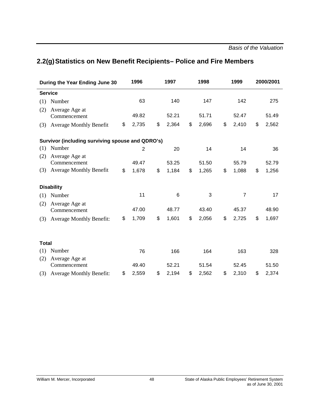# **2.2(g)Statistics on New Benefit Recipients– Police and Fire Members**

| During the Year Ending June 30                   | 1996           | 1997        | 1998        | 1999        | 2000/2001   |
|--------------------------------------------------|----------------|-------------|-------------|-------------|-------------|
| <b>Service</b>                                   |                |             |             |             |             |
| Number<br>(1)                                    | 63             | 140         | 147         | 142         | 275         |
| (2)<br>Average Age at<br>Commencement            | 49.82          | 52.21       | 51.71       | 52.47       | 51.49       |
| <b>Average Monthly Benefit</b><br>(3)            | \$<br>2,735    | \$<br>2,364 | \$<br>2,696 | \$<br>2,410 | \$<br>2,562 |
| Survivor (including surviving spouse and QDRO's) |                |             |             |             |             |
| Number<br>(1)                                    | $\overline{2}$ | 20          | 14          | 14          | 36          |
| Average Age at<br>(2)<br>Commencement            | 49.47          | 53.25       | 51.50       | 55.79       | 52.79       |
| <b>Average Monthly Benefit</b><br>(3)            | \$<br>1,678    | \$<br>1,184 | \$<br>1,265 | \$<br>1,088 | \$<br>1,256 |
| <b>Disability</b>                                |                |             |             |             |             |
| Number<br>(1)                                    | 11             | 6           | 3           | 7           | 17          |
| Average Age at<br>(2)<br>Commencement            | 47.00          | 48.77       | 43.40       | 45.37       | 48.90       |
| <b>Average Monthly Benefit:</b><br>(3)           | \$<br>1,709    | \$<br>1,601 | \$<br>2,056 | \$<br>2,725 | \$<br>1,697 |
|                                                  |                |             |             |             |             |
| <b>Total</b>                                     |                |             |             |             |             |
| Number<br>(1)                                    | 76             | 166         | 164         | 163         | 328         |
| (2)<br>Average Age at                            |                |             |             |             |             |
| Commencement                                     | 49.40          | 52.21       | 51.54       | 52.45       | 51.50       |
| <b>Average Monthly Benefit:</b><br>(3)           | \$<br>2,559    | \$<br>2,194 | \$<br>2,562 | \$<br>2,310 | \$<br>2,374 |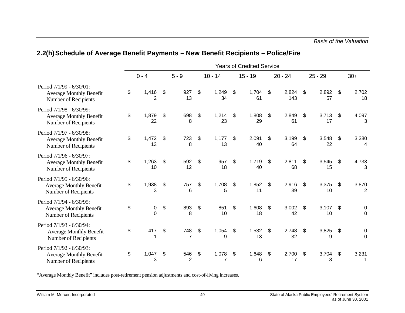|                                                                                           | <b>Years of Credited Service</b> |                         |                           |                       |    |             |    |             |               |              |    |             |                              |                                    |
|-------------------------------------------------------------------------------------------|----------------------------------|-------------------------|---------------------------|-----------------------|----|-------------|----|-------------|---------------|--------------|----|-------------|------------------------------|------------------------------------|
|                                                                                           |                                  | $0 - 4$                 |                           | $5 - 9$               |    | $10 - 14$   |    | $15 - 19$   |               | $20 - 24$    |    | $25 - 29$   |                              | $30+$                              |
| Period 7/1/99 - 6/30/01:<br><b>Average Monthly Benefit</b><br>Number of Recipients        | \$                               | 1,416<br>$\overline{2}$ | $\boldsymbol{\mathsf{S}}$ | 927<br>13             | \$ | 1,249<br>34 | \$ | 1,704<br>61 | \$            | 2,824<br>143 | \$ | 2,892<br>57 | \$                           | 2,702<br>18                        |
| Period 7/1/98 - 6/30/99:<br><b>Average Monthly Benefit</b><br>Number of Recipients        | \$                               | 1,879<br>22             | \$                        | 698<br>8              | \$ | 1,214<br>23 | \$ | 1,808<br>29 | \$            | 2,849<br>61  | \$ | 3,713<br>17 | \$                           | 4,097<br>3                         |
| Period 7/1/97 - 6/30/98:<br><b>Average Monthly Benefit</b><br>Number of Recipients        | \$                               | 1,472<br>13             | \$                        | 723<br>8              | \$ | 1,177<br>13 | \$ | 2,091<br>40 | \$            | 3,199<br>64  | \$ | 3,548<br>22 | \$                           | 3,380<br>4                         |
| Period 7/1/96 - 6/30/97:<br><b>Average Monthly Benefit</b><br>Number of Recipients        | \$                               | 1,263<br>10             | \$                        | 592<br>12             | \$ | 957<br>18   | \$ | 1,719<br>40 | \$            | 2,811<br>68  | \$ | 3,545<br>15 | \$                           | 4,733<br>3                         |
| Period 7/1/95 - 6/30/96:<br><b>Average Monthly Benefit</b><br>Number of Recipients        | \$                               | 1,938<br>3              | \$                        | 757<br>6              | \$ | 1,708<br>5  | \$ | 1,852<br>11 | \$            | 2,916<br>39  | \$ | 3,375<br>10 | \$                           | 3,870<br>$\overline{2}$            |
| Period 7/1/94 - 6/30/95:<br><b>Average Monthly Benefit</b><br>Number of Recipients        | \$                               | 0<br>$\overline{0}$     | \$                        | 893<br>8              | \$ | 851<br>10   | \$ | 1,608<br>18 | \$            | 3,002<br>42  | \$ | 3,107<br>10 | $\boldsymbol{\hat{\varphi}}$ | 0<br>$\mathbf 0$                   |
| Period 7/1/93 - 6/30/94:<br><b>Average Monthly Benefit</b><br>Number of Recipients        | \$                               | 417<br>1                | \$                        | 748<br>$\overline{7}$ | \$ | 1,054<br>9  | \$ | 1,532<br>13 | \$            | 2,748<br>32  | \$ | 3,825<br>9  | \$                           | $\boldsymbol{0}$<br>$\overline{0}$ |
| Period 7/1/92 - 6/30/93:<br><b>Average Monthly Benefit</b><br><b>Number of Recipients</b> | \$                               | 1,047<br>3              | \$                        | 546<br>$\overline{2}$ | \$ | 1,078<br>7  | \$ | 1,648<br>6  | $\frac{1}{2}$ | 2,700<br>17  | \$ | 3,704<br>3  | \$                           | 3,231<br>1                         |

## **2.2(h)Schedule of Average Benefit Payments – New Benefit Recipients – Police/Fire**

"Average Monthly Benefit" includes post-retirement pension adjustments and cost-of-living increases.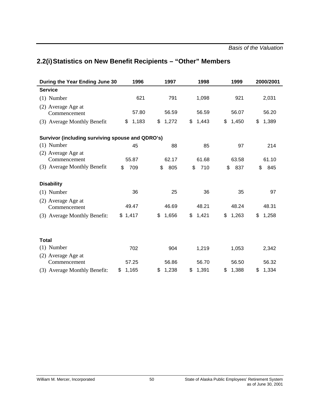# **2.2(i)Statistics on New Benefit Recipients – "Other" Members**

| During the Year Ending June 30                   | 1996        | 1997        | 1998        | 1999        | 2000/2001   |  |  |
|--------------------------------------------------|-------------|-------------|-------------|-------------|-------------|--|--|
| <b>Service</b>                                   |             |             |             |             |             |  |  |
| $(1)$ Number                                     | 621         | 791         | 1,098       | 921         | 2,031       |  |  |
| (2) Average Age at<br>Commencement               | 57.80       | 56.59       | 56.59       | 56.07       | 56.20       |  |  |
| (3) Average Monthly Benefit                      | 1,183<br>\$ | 1,272<br>\$ | \$<br>1,443 | \$<br>1,450 | 1,389<br>\$ |  |  |
| Survivor (including surviving spouse and QDRO's) |             |             |             |             |             |  |  |
| $(1)$ Number                                     | 45          | 88          | 85          | 97          | 214         |  |  |
| (2) Average Age at                               |             |             |             |             |             |  |  |
| Commencement                                     | 55.87       | 62.17       | 61.68       | 63.58       | 61.10       |  |  |
| (3) Average Monthly Benefit                      | \$<br>709   | \$<br>805   | \$<br>710   | \$<br>837   | \$<br>845   |  |  |
| <b>Disability</b>                                |             |             |             |             |             |  |  |
| $(1)$ Number                                     | 36          | 25          | 36          | 35          | 97          |  |  |
| (2) Average Age at<br>Commencement               | 49.47       | 46.69       | 48.21       | 48.24       | 48.31       |  |  |
| (3) Average Monthly Benefit:                     | \$1,417     | 1,656<br>\$ | 1,421<br>\$ | 1,263<br>\$ | \$<br>1,258 |  |  |
|                                                  |             |             |             |             |             |  |  |
| <b>Total</b>                                     |             |             |             |             |             |  |  |
| $(1)$ Number                                     | 702         | 904         | 1,219       | 1,053       | 2,342       |  |  |
| (2) Average Age at                               |             |             |             |             |             |  |  |
| Commencement                                     | 57.25       | 56.86       | 56.70       | 56.50       | 56.32       |  |  |
| (3) Average Monthly Benefit:                     | 1,165<br>\$ | 1,238<br>\$ | \$<br>1,391 | 1,388<br>\$ | 1,334<br>\$ |  |  |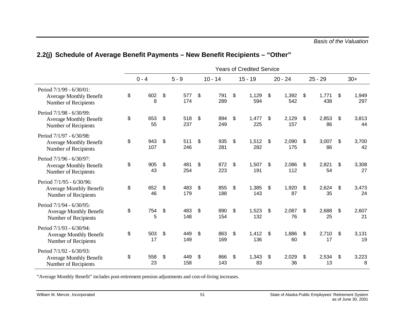|                                                                                           |                  |                            |            |                  | <b>Years of Credited Service</b> |                    |                    |                    |
|-------------------------------------------------------------------------------------------|------------------|----------------------------|------------|------------------|----------------------------------|--------------------|--------------------|--------------------|
|                                                                                           | $0 - 4$          |                            | $5 - 9$    | $10 - 14$        | $15 - 19$                        | $20 - 24$          | $25 - 29$          | $30+$              |
| Period 7/1/99 - 6/30/01:<br><b>Average Monthly Benefit</b><br>Number of Recipients        | \$<br>602<br>8   | \$                         | 577<br>174 | \$<br>791<br>289 | \$<br>1,129<br>594               | \$<br>1,392<br>542 | \$<br>1,771<br>438 | \$<br>1,949<br>297 |
| Period 7/1/98 - 6/30/99:<br><b>Average Monthly Benefit</b><br>Number of Recipients        | \$<br>653<br>55  | $\boldsymbol{\mathsf{\$}}$ | 518<br>237 | \$<br>894<br>249 | \$<br>1,477<br>225               | \$<br>2,129<br>157 | \$<br>2,853<br>86  | \$<br>3,813<br>44  |
| Period 7/1/97 - 6/30/98:<br><b>Average Monthly Benefit</b><br>Number of Recipients        | \$<br>943<br>107 | $\boldsymbol{\mathsf{\$}}$ | 511<br>246 | \$<br>935<br>281 | \$<br>1,512<br>282               | \$<br>2,090<br>175 | \$<br>3,007<br>86  | \$<br>3,700<br>42  |
| Period 7/1/96 - 6/30/97:<br><b>Average Monthly Benefit</b><br>Number of Recipients        | \$<br>905<br>43  | \$                         | 481<br>254 | \$<br>872<br>223 | \$<br>1,507<br>191               | \$<br>2,086<br>112 | \$<br>2,821<br>54  | \$<br>3,308<br>27  |
| Period 7/1/95 - 6/30/96:<br><b>Average Monthly Benefit</b><br>Number of Recipients        | \$<br>652<br>46  | \$                         | 483<br>179 | \$<br>855<br>188 | \$<br>1,385<br>143               | \$<br>1,920<br>87  | \$<br>2,624<br>35  | \$<br>3,473<br>24  |
| Period 7/1/94 - 6/30/95:<br><b>Average Monthly Benefit</b><br>Number of Recipients        | \$<br>754<br>5   | $\boldsymbol{\mathsf{\$}}$ | 483<br>148 | \$<br>890<br>154 | \$<br>1,523<br>132               | \$<br>2,087<br>76  | \$<br>2,688<br>25  | \$<br>2,607<br>21  |
| Period 7/1/93 - 6/30/94:<br><b>Average Monthly Benefit</b><br>Number of Recipients        | \$<br>503<br>17  | \$                         | 449<br>149 | \$<br>863<br>169 | \$<br>1,412<br>136               | \$<br>1,886<br>60  | \$<br>2,710<br>17  | \$<br>3,131<br>19  |
| Period 7/1/92 - 6/30/93:<br><b>Average Monthly Benefit</b><br><b>Number of Recipients</b> | \$<br>558<br>23  | \$                         | 449<br>158 | \$<br>866<br>143 | \$<br>1,343<br>83                | \$<br>2,029<br>36  | \$<br>2,534<br>13  | \$<br>3,223<br>8   |

## **2.2(j) Schedule of Average Benefit Payments – New Benefit Recipients – "Other"**

"Average Monthly Benefit" includes post-retirement pension adjustments and cost-of-living increases.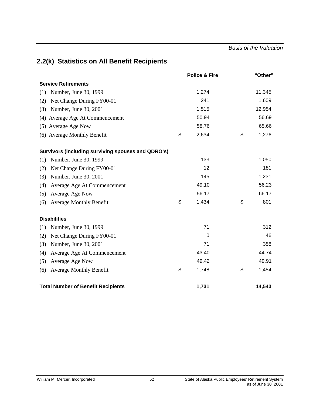*Basis of the Valuation*

# **2.2(k) Statistics on All Benefit Recipients**

|                                                    | <b>Police &amp; Fire</b> | "Other"     |
|----------------------------------------------------|--------------------------|-------------|
| <b>Service Retirements</b>                         |                          |             |
| Number, June 30, 1999<br>(1)                       | 1,274                    | 11,345      |
| Net Change During FY00-01<br>(2)                   | 241                      | 1,609       |
| Number, June 30, 2001<br>(3)                       | 1,515                    | 12,954      |
| (4) Average Age At Commencement                    | 50.94                    | 56.69       |
| (5) Average Age Now                                | 58.76                    | 65.66       |
| (6) Average Monthly Benefit                        | \$<br>2,634              | \$<br>1,276 |
| Survivors (including surviving spouses and QDRO's) |                          |             |
| Number, June 30, 1999<br>(1)                       | 133                      | 1,050       |
| Net Change During FY00-01<br>(2)                   | 12                       | 181         |
| Number, June 30, 2001<br>(3)                       | 145                      | 1,231       |
| Average Age At Commencement<br>(4)                 | 49.10                    | 56.23       |
| Average Age Now<br>(5)                             | 56.17                    | 66.17       |
| <b>Average Monthly Benefit</b><br>(6)              | \$<br>1,434              | \$<br>801   |
| <b>Disabilities</b>                                |                          |             |
| Number, June 30, 1999<br>(1)                       | 71                       | 312         |
| Net Change During FY00-01<br>(2)                   | $\mathbf 0$              | 46          |
| Number, June 30, 2001<br>(3)                       | 71                       | 358         |
| Average Age At Commencement<br>(4)                 | 43.40                    | 44.74       |
| Average Age Now<br>(5)                             | 49.42                    | 49.91       |
| <b>Average Monthly Benefit</b><br>(6)              | \$<br>1,748              | \$<br>1,454 |
| <b>Total Number of Benefit Recipients</b>          | 1,731                    | 14,543      |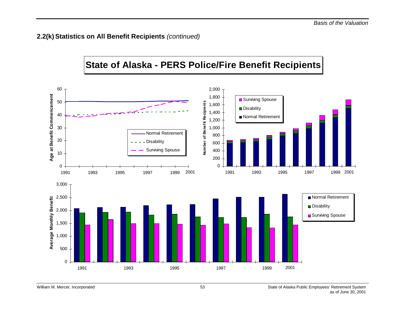## **2.2(k) Statistics on All Benefit Recipients** *(continued)*

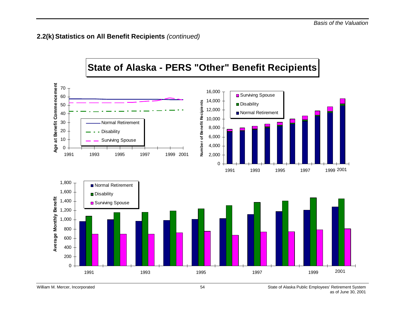## **2.2(k) Statistics on All Benefit Recipients** *(continued)*

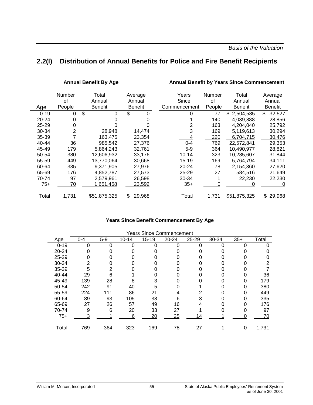## **2.2(l) Distribution of Annual Benefits for Police and Fire Benefit Recipients**

#### Annual Benefit By Age **Annual Benefit by Years Since Commencement**

|          | Number<br>οf | Total<br>Annual | Average<br>Annual | Years<br>Since | <b>Number</b><br>0f | Total<br>Annual | Average<br>Annual |
|----------|--------------|-----------------|-------------------|----------------|---------------------|-----------------|-------------------|
| Age      | People       | <b>Benefit</b>  | <b>Benefit</b>    | Commencement   | People              | <b>Benefit</b>  | <b>Benefit</b>    |
| $0 - 19$ | 0            | \$<br>0         | \$<br>0           | $\Omega$       | 77                  | \$<br>2.504.585 | \$<br>32,527      |
| 20-24    | 0            |                 |                   |                | 140                 | 4,039,888       | 28,856            |
| 25-29    |              |                 |                   |                | 163                 | 4,204,040       | 25,792            |
| 30-34    | 2            | 28,948          | 14,474            | 3              | 169                 | 5,119,613       | 30,294            |
| 35-39    |              | 163.475         | 23,354            |                | 220                 | 6,704,715       | 30,476            |
| 40-44    | 36           | 985,542         | 27,376            | $0 - 4$        | 769                 | 22,572,841      | 29,353            |
| 45-49    | 179          | 5,864,243       | 32,761            | $5-9$          | 364                 | 10,490,977      | 28,821            |
| 50-54    | 380          | 12,606,932      | 33,176            | $10 - 14$      | 323                 | 10,285,607      | 31,844            |
| 55-59    | 449          | 13,770,064      | 30,668            | $15 - 19$      | 169                 | 5,764,794       | 34,111            |
| 60-64    | 335          | 9,371,905       | 27,976            | $20 - 24$      | 78                  | 2,154,360       | 27,620            |
| 65-69    | 176          | 4,852,787       | 27,573            | $25 - 29$      | 27                  | 584,516         | 21,649            |
| 70-74    | 97           | 2,579,961       | 26,598            | 30-34          |                     | 22,230          | 22,230            |
| $75+$    | 70           | 1,651,468       | 23,592            | $35+$          | 0                   | 0               | 0                 |
| Total    | 1,731        | \$51,875,325    | \$<br>29,968      | Total          | 1,731               | \$51,875,325    | \$<br>29,968      |

#### **Years Since Benefit Commencement By Age**

| <b>Years Since Commencement</b> |         |         |           |           |           |           |       |       |       |
|---------------------------------|---------|---------|-----------|-----------|-----------|-----------|-------|-------|-------|
| Age                             | $0 - 4$ | $5 - 9$ | $10 - 14$ | $15 - 19$ | $20 - 24$ | $25 - 29$ | 30-34 | $35+$ | Total |
| $0 - 19$                        | ი       | 0       | ი         | $\Omega$  |           | ი         | ი     |       |       |
| $20 - 24$                       |         |         |           |           |           |           |       |       |       |
| 25-29                           |         |         |           |           |           |           |       |       |       |
| 30-34                           |         |         |           |           |           |           |       |       | 2     |
| 35-39                           | 5       |         |           |           |           |           |       |       |       |
| 40-44                           | 29      | 6       |           |           |           |           |       |       | 36    |
| 45-49                           | 139     | 28      | 8         |           |           |           |       |       | 179   |
| 50-54                           | 242     | 91      | 40        | 5         |           |           |       | 0     | 380   |
| 55-59                           | 224     | 111     | 86        | 21        |           | 2         |       | 0     | 449   |
| 60-64                           | 89      | 93      | 105       | 38        | 6         |           |       | 0     | 335   |
| 65-69                           | 27      | 26      | 57        | 49        | 16        |           |       |       | 176   |
| 70-74                           | 9       | 6       | 20        | 33        | 27        |           |       |       | 97    |
| $75+$                           |         |         | 6         | 20        | 25        | 14        |       |       | 70    |
|                                 |         |         |           |           |           |           |       |       |       |
| Total                           | 769     | 364     | 323       | 169       | 78        | 27        |       | 0     | 1,731 |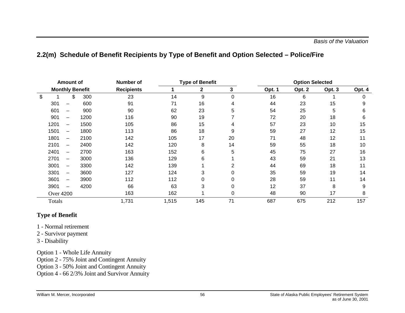## **2.2(m) Schedule of Benefit Recipients by Type of Benefit and Option Selected – Police/Fire**

|        | <b>Amount of</b>         |                        | <b>Type of Benefit</b><br>Number of |       |     |          | <b>Option Selected</b> |        |        |        |
|--------|--------------------------|------------------------|-------------------------------------|-------|-----|----------|------------------------|--------|--------|--------|
|        |                          | <b>Monthly Benefit</b> | <b>Recipients</b>                   | 1     | 2   | 3        | Opt. 1                 | Opt. 2 | Opt. 3 | Opt. 4 |
| \$     | \$                       | 300                    | 23                                  | 14    | 9   | $\Omega$ | 16                     | 6      |        |        |
| 301    |                          | 600                    | 91                                  | 71    | 16  | 4        | 44                     | 23     | 15     | 9      |
| 601    |                          | 900                    | 90                                  | 62    | 23  | 5        | 54                     | 25     | 5      | 6      |
| 901    |                          | 1200                   | 116                                 | 90    | 19  |          | 72                     | 20     | 18     | 6      |
| 1201   |                          | 1500                   | 105                                 | 86    | 15  | 4        | 57                     | 23     | 10     | 15     |
| 1501   |                          | 1800                   | 113                                 | 86    | 18  | 9        | 59                     | 27     | 12     | 15     |
| 1801   | $\overline{\phantom{0}}$ | 2100                   | 142                                 | 105   | 17  | 20       | 71                     | 48     | 12     | 11     |
| 2101   | $\overline{\phantom{0}}$ | 2400                   | 142                                 | 120   | 8   | 14       | 59                     | 55     | 18     | 10     |
| 2401   | $\overline{\phantom{0}}$ | 2700                   | 163                                 | 152   | 6   | 5        | 45                     | 75     | 27     | 16     |
| 2701   | —                        | 3000                   | 136                                 | 129   | 6   |          | 43                     | 59     | 21     | 13     |
| 3001   | —                        | 3300                   | 142                                 | 139   |     | 2        | 44                     | 69     | 18     | 11     |
| 3301   | —                        | 3600                   | 127                                 | 124   | 3   | 0        | 35                     | 59     | 19     | 14     |
| 3601   | $\overline{\phantom{0}}$ | 3900                   | 112                                 | 112   | 0   |          | 28                     | 59     | 11     | 14     |
| 3901   |                          | 4200                   | 66                                  | 63    | 3   |          | 12                     | 37     | 8      | 9      |
|        | <b>Over 4200</b>         |                        | 163                                 | 162   |     |          | 48                     | 90     | 17     | 8      |
| Totals |                          |                        | 1,731                               | 1,515 | 145 | 71       | 687                    | 675    | 212    | 157    |

## **Type of Benefit**

1 - Normal retirement

- 2 Survivor payment
- 3 Disability

Option 1 - Whole Life Annuity

Option 2 - 75% Joint and Contingent Annuity

Option 3 - 50% Joint and Contingent Annuity

Option 4 - 66 2/3% Joint and Survivor Annuity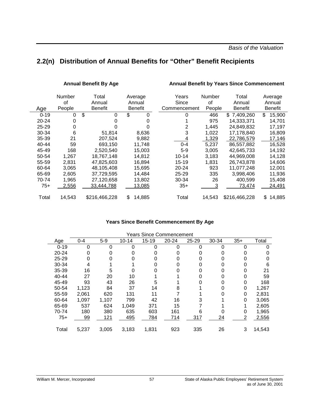# **2.2(n) Distribution of Annual Benefits for "Other" Benefit Recipients**

#### Annual Benefit By Age **Annual Benefit by Years Since Commencement**

|          | Number<br>οf | Total<br>Annual | Average<br>Annual | Years<br>Since | Number<br>οf | Total<br>Annual | Average<br>Annual |
|----------|--------------|-----------------|-------------------|----------------|--------------|-----------------|-------------------|
| Age      | People       | Benefit         | Benefit           | Commencement   | People       | <b>Benefit</b>  | <b>Benefit</b>    |
| $0 - 19$ | $\Omega$     | \$<br>$\Omega$  | \$<br>0           | 0              | 466          | \$7,409,260     | \$<br>15,900      |
| 20-24    | 0            |                 | 0                 |                | 975          | 14,333,371      | 14.701            |
| 25-29    | 0            |                 | 0                 | 2              | 1,445        | 24,849,832      | 17,197            |
| 30-34    | 6            | 51,814          | 8,636             | 3              | 1,022        | 17,178,840      | 16,809            |
| 35-39    | 21           | 207,524         | 9,882             | 4              | 1,329        | 22,786,579      | 17,146            |
| 40-44    | 59           | 693,150         | 11,748            | $0 - 4$        | 5,237        | 86,557,882      | 16,528            |
| 45-49    | 168          | 2,520,540       | 15,003            | $5-9$          | 3,005        | 42,645,733      | 14,192            |
| 50-54    | 1,267        | 18,767,148      | 14,812            | $10 - 14$      | 3,183        | 44,969,008      | 14,128            |
| 55-59    | 2,831        | 47,825,603      | 16,894            | $15 - 19$      | 1,831        | 26,743,878      | 14,606            |
| 60-64    | 3,065        | 48,105,408      | 15,695            | 20-24          | 923          | 11,077,248      | 12,001            |
| 65-69    | 2,605        | 37,729,595      | 14.484            | $25 - 29$      | 335          | 3,998,406       | 11,936            |
| 70-74    | 1,965        | 27,120,658      | 13,802            | 30-34          | 26           | 400,599         | 15,408            |
| $75+$    | 2,556        | 33,444,788      | 13,085            | $35+$          | 3            | 73,474          | 24,491            |
| Total    | 14,543       | \$216,466,228   | \$<br>14,885      | Total          | 14,543       | \$216,466,228   | 14,885<br>\$.     |

#### **Years Since Benefit Commencement By Age**

| <b>Years Since Commencement</b> |         |       |           |       |           |       |       |       |        |
|---------------------------------|---------|-------|-----------|-------|-----------|-------|-------|-------|--------|
| Age                             | $0 - 4$ | $5-9$ | $10 - 14$ | 15-19 | $20 - 24$ | 25-29 | 30-34 | $35+$ | Total  |
| $0 - 19$                        | O       | 0     | 0         | ი     | ი         | 0     | Ω     |       | O      |
| 20-24                           |         |       |           |       |           |       |       |       |        |
| 25-29                           |         |       |           |       |           |       |       |       |        |
| 30-34                           | 4       |       |           |       |           |       |       |       | 6      |
| 35-39                           | 16      | 5     | 0         |       |           |       |       |       | 21     |
| 40-44                           | 27      | 20    | 10        |       |           |       |       |       | 59     |
| 45-49                           | 93      | 43    | 26        | 5     |           |       |       | 0     | 168    |
| 50-54                           | 1,123   | 84    | 37        | 14    | 8         |       |       | 0     | 1,267  |
| 55-59                           | 2,061   | 620   | 131       | 11    |           |       |       | 0     | 2,831  |
| 60-64                           | 1,097   | 1,107 | 799       | 42    | 16        | 3     |       | 0     | 3,065  |
| 65-69                           | 537     | 624   | 1,049     | 371   | 15        |       |       |       | 2,605  |
| 70-74                           | 180     | 380   | 635       | 603   | 161       | 6     |       | 0     | 1,965  |
| $75+$                           | 99      | 121   | 495       | 784   | 714       | 317   | 24    | 2     | 2,556  |
|                                 |         |       |           |       |           |       |       |       |        |
| Total                           | 5,237   | 3,005 | 3,183     | 1,831 | 923       | 335   | 26    | 3     | 14,543 |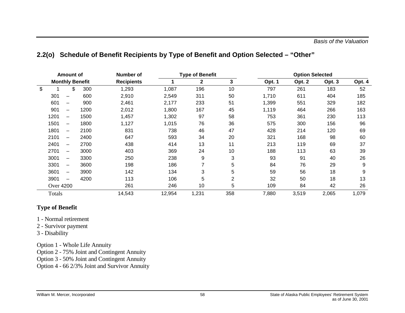|  |  |  |  | 2.2(o) Schedule of Benefit Recipients by Type of Benefit and Option Selected – "Other" |  |
|--|--|--|--|----------------------------------------------------------------------------------------|--|
|--|--|--|--|----------------------------------------------------------------------------------------|--|

|                  | Amount of                |                        | Number of         |        | <b>Type of Benefit</b> |                |        |        | <b>Option Selected</b> |        |  |  |
|------------------|--------------------------|------------------------|-------------------|--------|------------------------|----------------|--------|--------|------------------------|--------|--|--|
|                  |                          | <b>Monthly Benefit</b> | <b>Recipients</b> | 1      | 2                      | 3              | Opt. 1 | Opt. 2 | Opt. 3                 | Opt. 4 |  |  |
| \$               | \$                       | 300                    | 1,293             | 1,087  | 196                    | 10             | 797    | 261    | 183                    | 52     |  |  |
| 301              | —                        | 600                    | 2,910             | 2,549  | 311                    | 50             | 1,710  | 611    | 404                    | 185    |  |  |
| 601              | —                        | 900                    | 2,461             | 2,177  | 233                    | 51             | 1,399  | 551    | 329                    | 182    |  |  |
| 901              | —                        | 1200                   | 2,012             | 1,800  | 167                    | 45             | 1,119  | 464    | 266                    | 163    |  |  |
| 1201             | $\overline{\phantom{0}}$ | 1500                   | 1,457             | 1,302  | 97                     | 58             | 753    | 361    | 230                    | 113    |  |  |
| 1501             | —                        | 1800                   | 1,127             | 1,015  | 76                     | 36             | 575    | 300    | 156                    | 96     |  |  |
| 1801             | $\overline{\phantom{0}}$ | 2100                   | 831               | 738    | 46                     | 47             | 428    | 214    | 120                    | 69     |  |  |
| 2101             | -                        | 2400                   | 647               | 593    | 34                     | 20             | 321    | 168    | 98                     | 60     |  |  |
| 2401             | —                        | 2700                   | 438               | 414    | 13                     | 11             | 213    | 119    | 69                     | 37     |  |  |
| 2701             | -                        | 3000                   | 403               | 369    | 24                     | 10             | 188    | 113    | 63                     | 39     |  |  |
| 3001             | $\overline{\phantom{0}}$ | 3300                   | 250               | 238    | 9                      | 3              | 93     | 91     | 40                     | 26     |  |  |
| 3301             | $\overline{\phantom{0}}$ | 3600                   | 198               | 186    |                        | 5              | 84     | 76     | 29                     | 9      |  |  |
| 3601             | —                        | 3900                   | 142               | 134    | 3                      | 5              | 59     | 56     | 18                     | 9      |  |  |
| 3901             | $\overline{\phantom{0}}$ | 4200                   | 113               | 106    | 5                      | $\overline{2}$ | 32     | 50     | 18                     | 13     |  |  |
| <b>Over 4200</b> |                          |                        | 261               | 246    | 10                     | 5              | 109    | 84     | 42                     | 26     |  |  |
| Totals           |                          |                        | 14,543            | 12,954 | 1,231                  | 358            | 7,880  | 3,519  | 2,065                  | 1,079  |  |  |

## **Type of Benefit**

- 1 Normal retirement
- 2 Survivor payment
- 3 Disability

Option 1 - Whole Life Annuity

- Option 2 75% Joint and Contingent Annuity
- Option 3 50% Joint and Contingent Annuity

Option 4 - 66 2/3% Joint and Survivor Annuity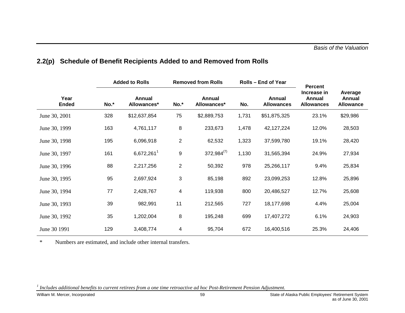|                      |      | <b>Added to Rolls</b>        |                         | <b>Removed from Rolls</b>    |       | Rolls – End of Year         | <b>Percent</b>                             |                                       |  |
|----------------------|------|------------------------------|-------------------------|------------------------------|-------|-----------------------------|--------------------------------------------|---------------------------------------|--|
| Year<br><b>Ended</b> | No.* | <b>Annual</b><br>Allowances* | No.*                    | <b>Annual</b><br>Allowances* | No.   | Annual<br><b>Allowances</b> | Increase in<br>Annual<br><b>Allowances</b> | Average<br>Annual<br><b>Allowance</b> |  |
| June 30, 2001        | 328  | \$12,637,854                 | 75                      | \$2,889,753                  | 1,731 | \$51,875,325                | 23.1%                                      | \$29,986                              |  |
| June 30, 1999        | 163  | 4,761,117                    | 8                       | 233,673                      | 1,478 | 42,127,224                  | 12.0%                                      | 28,503                                |  |
| June 30, 1998        | 195  | 6,096,918                    | $\overline{c}$          | 62,532                       | 1,323 | 37,599,780                  | 19.1%                                      | 28,420                                |  |
| June 30, 1997        | 161  | 6,672,261                    | 9                       | $372,984^{(7)}$              | 1,130 | 31,565,394                  | 24.9%                                      | 27,934                                |  |
| June 30, 1996        | 88   | 2,217,256                    | $\overline{\mathbf{c}}$ | 50,392                       | 978   | 25,266,117                  | 9.4%                                       | 25,834                                |  |
| June 30, 1995        | 95   | 2,697,924                    | 3                       | 85,198                       | 892   | 23,099,253                  | 12.8%                                      | 25,896                                |  |
| June 30, 1994        | 77   | 2,428,767                    | 4                       | 119,938                      | 800   | 20,486,527                  | 12.7%                                      | 25,608                                |  |
| June 30, 1993        | 39   | 982,991                      | 11                      | 212,565                      | 727   | 18,177,698                  | 4.4%                                       | 25,004                                |  |
| June 30, 1992        | 35   | 1,202,004                    | 8                       | 195,248                      | 699   | 17,407,272                  | 6.1%                                       | 24,903                                |  |
| June 30 1991         | 129  | 3,408,774                    | 4                       | 95,704                       | 672   | 16,400,516                  | 25.3%                                      | 24,406                                |  |

# **2.2(p) Schedule of Benefit Recipients Added to and Removed from Rolls**

 $\ast$ Numbers are estimated, and include other internal transfers.

*<sup>1</sup> Includes additional benefits to current retirees from a one time retroactive ad hoc Post-Retirement Pension Adjustment.*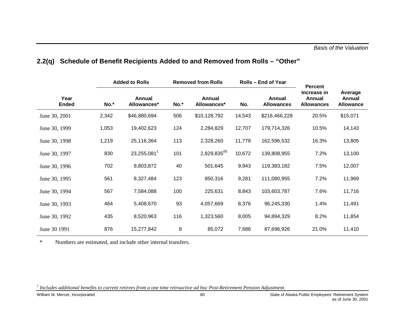|                      |       | <b>Added to Rolls</b>        |      | <b>Removed from Rolls</b>    |        | Rolls – End of Year                | <b>Percent</b>                             |                                       |  |
|----------------------|-------|------------------------------|------|------------------------------|--------|------------------------------------|--------------------------------------------|---------------------------------------|--|
| Year<br><b>Ended</b> | No.*  | <b>Annual</b><br>Allowances* | No.* | <b>Annual</b><br>Allowances* | No.    | <b>Annual</b><br><b>Allowances</b> | Increase in<br>Annual<br><b>Allowances</b> | Average<br>Annual<br><b>Allowance</b> |  |
| June 30, 2001        | 2,342 | \$46,880,694                 | 506  | \$10,128,792                 | 14,543 | \$216,466,228                      | 20.5%                                      | \$15,071                              |  |
| June 30, 1999        | 1,053 | 19,402,623                   | 124  | 2,284,829                    | 12,707 | 179,714,326                        | 10.5%                                      | 14,143                                |  |
| June 30, 1998        | 1,219 | 25,116,364                   | 113  | 2,328,260                    | 11,778 | 162,596,532                        | 16.3%                                      | 13,805                                |  |
| June 30, 1997        | 830   | 23,255,081 <sup>1</sup>      | 101  | $2,829,835^{(8)}$            | 10,672 | 139,808,955                        | 7.2%                                       | 13,100                                |  |
| June 30, 1996        | 702   | 8,803,872                    | 40   | 501,645                      | 9,943  | 119,383,182                        | 7.5%                                       | 12,007                                |  |
| June 30, 1995        | 561   | 8,327,484                    | 123  | 850,316                      | 9,281  | 111,080,955                        | 7.2%                                       | 11,969                                |  |
| June 30, 1994        | 567   | 7,584,088                    | 100  | 225,631                      | 8,843  | 103,603,787                        | 7.6%                                       | 11,716                                |  |
| June 30, 1993        | 464   | 5,408,670                    | 93   | 4,057,669                    | 8,376  | 96,245,330                         | 1.4%                                       | 11,491                                |  |
| June 30, 1992        | 435   | 8,520,963                    | 116  | 1,323,560                    | 8,005  | 94,894,329                         | 8.2%                                       | 11,854                                |  |
| June 30 1991         | 876   | 15,277,842                   | 8    | 85,072                       | 7,686  | 87,696,926                         | 21.0%                                      | 11,410                                |  |

# **2.2(q) Schedule of Benefit Recipients Added to and Removed from Rolls – "Other"**

 $\ast$ Numbers are estimated, and include other internal transfers.

*<sup>1</sup> Includes additional benefits to current retirees from a one time retroactive ad hoc Post-Retirement Pension Adjustment.*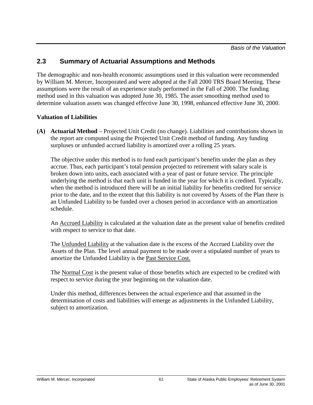*Basis of the Valuation*

# **2.3 Summary of Actuarial Assumptions and Methods**

The demographic and non-health economic assumptions used in this valuation were recommended by William M. Mercer, Incorporated and were adopted at the Fall 2000 TRS Board Meeting. These assumptions were the result of an experience study performed in the Fall of 2000. The funding method used in this valuation was adopted June 30, 1985. The asset smoothing method used to determine valuation assets was changed effective June 30, 1998, enhanced effective June 30, 2000.

## **Valuation of Liabilities**

**(A) Actuarial Method** – Projected Unit Credit (no change). Liabilities and contributions shown in the report are computed using the Projected Unit Credit method of funding. Any funding surpluses or unfunded accrued liability is amortized over a rolling 25 years.

The objective under this method is to fund each participant's benefits under the plan as they accrue. Thus, each participant's total pension projected to retirement with salary scale is broken down into units, each associated with a year of past or future service. The principle underlying the method is that each unit is funded in the year for which it is credited. Typically, when the method is introduced there will be an initial liability for benefits credited for service prior to the date, and to the extent that this liability is not covered by Assets of the Plan there is an Unfunded Liability to be funded over a chosen period in accordance with an amortization schedule.

An Accrued Liability is calculated at the valuation date as the present value of benefits credited with respect to service to that date.

The Unfunded Liability at the valuation date is the excess of the Accrued Liability over the Assets of the Plan. The level annual payment to be made over a stipulated number of years to amortize the Unfunded Liability is the Past Service Cost.

The Normal Cost is the present value of those benefits which are expected to be credited with respect to service during the year beginning on the valuation date.

Under this method, differences between the actual experience and that assumed in the determination of costs and liabilities will emerge as adjustments in the Unfunded Liability, subject to amortization.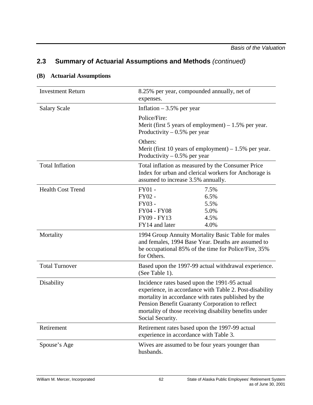## **(B) Actuarial Assumptions**

| <b>Investment Return</b> | 8.25% per year, compounded annually, net of<br>expenses.                                                                                                                                                                                                                                         |  |  |  |
|--------------------------|--------------------------------------------------------------------------------------------------------------------------------------------------------------------------------------------------------------------------------------------------------------------------------------------------|--|--|--|
| <b>Salary Scale</b>      | Inflation $-3.5%$ per year                                                                                                                                                                                                                                                                       |  |  |  |
|                          | Police/Fire:<br>Merit (first 5 years of employment) $-1.5%$ per year.<br>Productivity $-0.5%$ per year                                                                                                                                                                                           |  |  |  |
|                          | Others:<br>Merit (first 10 years of employment) $-1.5%$ per year.<br>Productivity $-0.5%$ per year                                                                                                                                                                                               |  |  |  |
| <b>Total Inflation</b>   | Total inflation as measured by the Consumer Price<br>Index for urban and clerical workers for Anchorage is<br>assumed to increase 3.5% annually.                                                                                                                                                 |  |  |  |
| <b>Health Cost Trend</b> | $FY01 -$<br>7.5%<br>FY02 -<br>6.5%<br>FY03 -<br>5.5%<br><b>FY04 - FY08</b><br>5.0%<br>FY09 - FY13<br>4.5%<br>FY14 and later<br>4.0%                                                                                                                                                              |  |  |  |
| Mortality                | 1994 Group Annuity Mortality Basic Table for males<br>and females, 1994 Base Year. Deaths are assumed to<br>be occupational 85% of the time for Police/Fire, 35%<br>for Others.                                                                                                                  |  |  |  |
| <b>Total Turnover</b>    | Based upon the 1997-99 actual withdrawal experience.<br>(See Table 1).                                                                                                                                                                                                                           |  |  |  |
| Disability               | Incidence rates based upon the 1991-95 actual<br>experience, in accordance with Table 2. Post-disability<br>mortality in accordance with rates published by the<br>Pension Benefit Guaranty Corporation to reflect<br>mortality of those receiving disability benefits under<br>Social Security. |  |  |  |
| Retirement               | Retirement rates based upon the 1997-99 actual<br>experience in accordance with Table 3.                                                                                                                                                                                                         |  |  |  |
| Spouse's Age             | Wives are assumed to be four years younger than<br>husbands.                                                                                                                                                                                                                                     |  |  |  |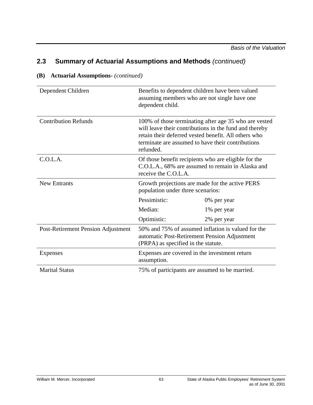| Dependent Children                 | Benefits to dependent children have been valued<br>assuming members who are not single have one<br>dependent child.                                                                                                                       |                                                 |  |  |  |
|------------------------------------|-------------------------------------------------------------------------------------------------------------------------------------------------------------------------------------------------------------------------------------------|-------------------------------------------------|--|--|--|
| <b>Contribution Refunds</b>        | 100% of those terminating after age 35 who are vested<br>will leave their contributions in the fund and thereby<br>retain their deferred vested benefit. All others who<br>terminate are assumed to have their contributions<br>refunded. |                                                 |  |  |  |
| C.O.L.A.                           | Of those benefit recipients who are eligible for the<br>C.O.L.A., 68% are assumed to remain in Alaska and<br>receive the C.O.L.A.                                                                                                         |                                                 |  |  |  |
| <b>New Entrants</b>                | population under three scenarios:                                                                                                                                                                                                         | Growth projections are made for the active PERS |  |  |  |
|                                    | Pessimistic:                                                                                                                                                                                                                              | 0% per year                                     |  |  |  |
|                                    | Median:                                                                                                                                                                                                                                   | 1% per year                                     |  |  |  |
|                                    | Optimistic:                                                                                                                                                                                                                               | 2% per year                                     |  |  |  |
| Post-Retirement Pension Adjustment | 50% and 75% of assumed inflation is valued for the<br>automatic Post-Retirement Pension Adjustment<br>(PRPA) as specified in the statute.                                                                                                 |                                                 |  |  |  |
| Expenses                           | Expenses are covered in the investment return<br>assumption.                                                                                                                                                                              |                                                 |  |  |  |
| <b>Marital Status</b>              | 75% of participants are assumed to be married.                                                                                                                                                                                            |                                                 |  |  |  |

## **(B) Actuarial Assumptions-** *(continued)*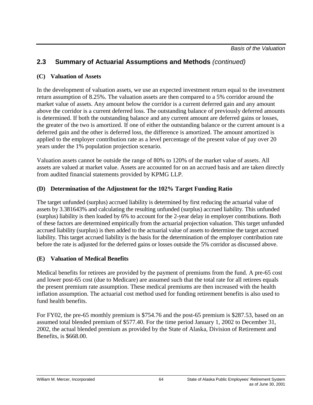## **(C) Valuation of Assets**

In the development of valuation assets, we use an expected investment return equal to the investment return assumption of 8.25%. The valuation assets are then compared to a 5% corridor around the market value of assets. Any amount below the corridor is a current deferred gain and any amount above the corridor is a current deferred loss. The outstanding balance of previously deferred amounts is determined. If both the outstanding balance and any current amount are deferred gains or losses, the greater of the two is amortized. If one of either the outstanding balance or the current amount is a deferred gain and the other is deferred loss, the difference is amortized. The amount amortized is applied to the employer contribution rate as a level percentage of the present value of pay over 20 years under the 1% population projection scenario.

Valuation assets cannot be outside the range of 80% to 120% of the market value of assets. All assets are valued at market value. Assets are accounted for on an accrued basis and are taken directly from audited financial statements provided by KPMG LLP.

## **(D) Determination of the Adjustment for the 102% Target Funding Ratio**

The target unfunded (surplus) accrued liability is determined by first reducing the actuarial value of assets by 3.381643% and calculating the resulting unfunded (surplus) accrued liability. This unfunded (surplus) liability is then loaded by 6% to account for the 2-year delay in employer contributions. Both of these factors are determined empirically from the actuarial projection valuation. This target unfunded accrued liability (surplus) is then added to the actuarial value of assets to determine the target accrued liability. This target accrued liability is the basis for the determination of the employer contribution rate before the rate is adjusted for the deferred gains or losses outside the 5% corridor as discussed above.

## **(E) Valuation of Medical Benefits**

Medical benefits for retirees are provided by the payment of premiums from the fund. A pre-65 cost and lower post-65 cost (due to Medicare) are assumed such that the total rate for all retirees equals the present premium rate assumption. These medical premiums are then increased with the health inflation assumption. The actuarial cost method used for funding retirement benefits is also used to fund health benefits.

For FY02, the pre-65 monthly premium is \$754.76 and the post-65 premium is \$287.53, based on an assumed total blended premium of \$577.40. For the time period January 1, 2002 to December 31, 2002, the actual blended premium as provided by the State of Alaska, Division of Retirement and Benefits, is \$668.00.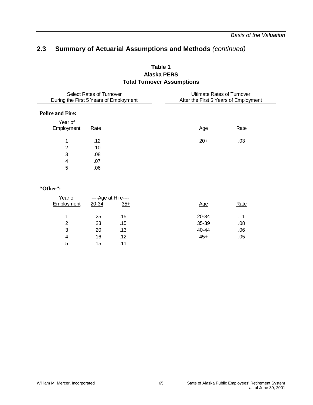## **Table 1 Alaska PERS Total Turnover Assumptions**

| Select Rates of Turnover<br>During the First 5 Years of Employment |      | <b>Ultimate Rates of Turnover</b><br>After the First 5 Years of Employment |      |
|--------------------------------------------------------------------|------|----------------------------------------------------------------------------|------|
| <b>Police and Fire:</b>                                            |      |                                                                            |      |
| Year of<br>Employment                                              | Rate | <u>Age</u>                                                                 | Rate |
| 1                                                                  | .12  | $20+$                                                                      | .03  |
| 2                                                                  | .10  |                                                                            |      |
| 3                                                                  | .08  |                                                                            |      |
| 4                                                                  | .07  |                                                                            |      |
| 5                                                                  | .06  |                                                                            |      |

#### **"Other":**

| 20-34 | $35+$ | <u>Age</u>          | Rate |
|-------|-------|---------------------|------|
| .25   | .15   | 20-34               | .11  |
| .23   | .15   | 35-39               | .08  |
| .20   | .13   | 40-44               | .06  |
| .16   | .12   | $45+$               | .05  |
| .15   | .11   |                     |      |
|       |       | ----Age at Hire---- |      |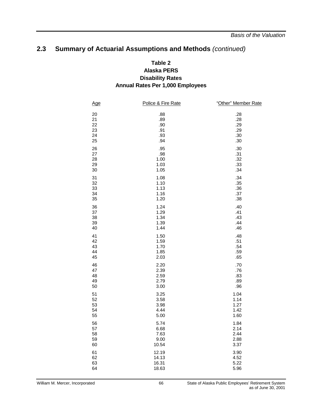## **Table 2 Alaska PERS Disability Rates Annual Rates Per 1,000 Employees**

| <u>Age</u> | Police & Fire Rate | "Other" Member Rate |
|------------|--------------------|---------------------|
| 20         | .88                | .28                 |
| 21         | .89                | .28                 |
| 22         | .90                | .29                 |
| 23         | .91                | .29                 |
| 24         | .93                | .30                 |
| 25         | .94                | .30                 |
| 26         | .95                | .30                 |
| 27         | .98                | .31                 |
| 28         | 1.00               | .32                 |
| 29         | 1.03               | .33                 |
| 30         | 1.05               | .34                 |
| 31         | 1.08               | .34                 |
| 32         | 1.10               | .35                 |
| 33         | 1.13               | .36                 |
| 34         | 1.16               | .37                 |
| 35         | 1.20               | .38                 |
| 36         | 1.24               | .40                 |
| 37         | 1.29               | .41                 |
| 38         | 1.34               | .43                 |
| 39         | 1.39               | .44                 |
| 40         | 1.44               | .46                 |
| 41         | 1.50               | .48                 |
| 42         | 1.59               | .51                 |
| 43         | 1.70               | .54                 |
| 44         | 1.85               | .59                 |
| 45         | 2.03               | .65                 |
| 46         | 2.20               | .70                 |
| 47         | 2.39               | .76                 |
| 48         | 2.59               | .83                 |
| 49         | 2.79               | .89                 |
| 50         | 3.00               | .96                 |
| 51         | 3.25               | 1.04                |
| 52         | 3.58               | 1.14                |
| 53         | 3.98               | 1.27                |
| 54         | 4.44               | 1.42                |
| 55         | 5.00               | 1.60                |
| 56         | 5.74               | 1.84                |
| 57         | 6.68               | 2.14                |
| 58         | 7.63               | 2.44                |
| 59         | 9.00               | 2.88                |
| 60         | 10.54              | 3.37                |
| 61         | 12.19              | 3.90                |
| 62         | 14.13              | 4.52                |
| 63         | 16.31              | 5.22                |
| 64         | 18.63              | 5.96                |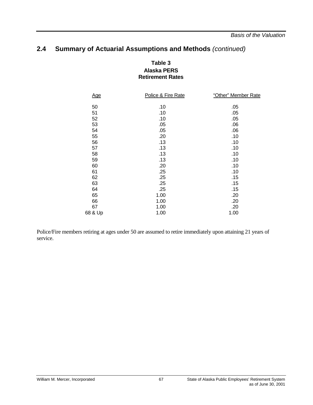*Basis of the Valuation*

## **2.4 Summary of Actuarial Assumptions and Methods** *(continued)*

### **Table 3 Alaska PERS Retirement Rates**

| <u>Age</u> | Police & Fire Rate | "Other" Member Rate |
|------------|--------------------|---------------------|
| 50         | .10                | .05                 |
| 51         | .10                | .05                 |
| 52         | .10                | .05                 |
| 53         | .05                | .06                 |
| 54         | .05                | .06                 |
| 55         | .20                | .10                 |
| 56         | .13                | .10                 |
| 57         | .13                | .10                 |
| 58         | .13                | .10                 |
| 59         | .13                | .10                 |
| 60         | .20                | .10                 |
| 61         | .25                | .10                 |
| 62         | .25                | .15                 |
| 63         | .25                | .15                 |
| 64         | .25                | .15                 |
| 65         | 1.00               | .20                 |
| 66         | 1.00               | .20                 |
| 67         | 1.00               | .20                 |
| 68 & Up    | 1.00               | 1.00                |
|            |                    |                     |

Police/Fire members retiring at ages under 50 are assumed to retire immediately upon attaining 21 years of service.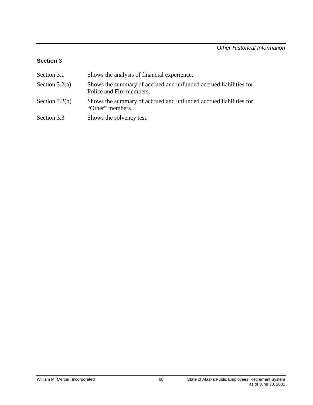## **Section 3**

| Section 3.1      | Shows the analysis of financial experience.                                                   |
|------------------|-----------------------------------------------------------------------------------------------|
| Section $3.2(a)$ | Shows the summary of accrued and unfunded accrued liabilities for<br>Police and Fire members. |
| Section $3.2(b)$ | Shows the summary of accrued and unfunded accrued liabilities for<br>"Other" members.         |
| Section 3.3      | Shows the solvency test.                                                                      |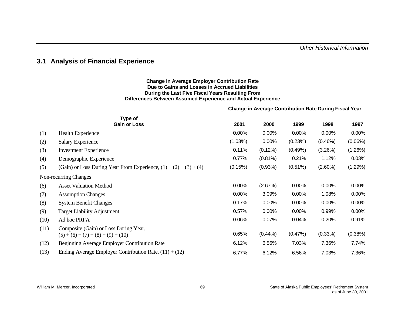*Other Historical Information*

### **3.1 Analysis of Financial Experience**

#### **Change in Average Employer Contribution Rate Due to Gains and Losses in Accrued Liabilities During the Last Five Fiscal Years Resulting From Differences Between Assumed Experience and Actual Experience**

|      |                                                                               | <b>Change in Average Contribution Rate During Fiscal Year</b> |            |            |            |            |  |
|------|-------------------------------------------------------------------------------|---------------------------------------------------------------|------------|------------|------------|------------|--|
|      | Type of<br><b>Gain or Loss</b>                                                | 2001                                                          | 2000       | 1999       | 1998       | 1997       |  |
| (1)  | <b>Health Experience</b>                                                      | 0.00%                                                         | 0.00%      | 0.00%      | 0.00%      | 0.00%      |  |
| (2)  | Salary Experience                                                             | (1.03%)                                                       | 0.00%      | (0.23%)    | (0.46%)    | $(0.06\%)$ |  |
| (3)  | <b>Investment Experience</b>                                                  | 0.11%                                                         | $(0.12\%)$ | (0.49%)    | (3.26%)    | (1.26%)    |  |
| (4)  | Demographic Experience                                                        | 0.77%                                                         | $(0.81\%)$ | 0.21%      | 1.12%      | 0.03%      |  |
| (5)  | (Gain) or Loss During Year From Experience, $(1) + (2) + (3) + (4)$           | (0.15%)                                                       | (0.93%)    | $(0.51\%)$ | $(2.60\%)$ | (1.29%)    |  |
|      | Non-recurring Changes                                                         |                                                               |            |            |            |            |  |
| (6)  | <b>Asset Valuation Method</b>                                                 | 0.00%                                                         | (2.67%)    | 0.00%      | $0.00\%$   | 0.00%      |  |
| (7)  | <b>Assumption Changes</b>                                                     | 0.00%                                                         | 3.09%      | 0.00%      | 1.08%      | 0.00%      |  |
| (8)  | <b>System Benefit Changes</b>                                                 | 0.17%                                                         | 0.00%      | 0.00%      | 0.00%      | 0.00%      |  |
| (9)  | <b>Target Liability Adjustment</b>                                            | 0.57%                                                         | 0.00%      | 0.00%      | 0.99%      | 0.00%      |  |
| (10) | Ad hoc PRPA                                                                   | 0.06%                                                         | 0.07%      | 0.04%      | 0.20%      | 0.91%      |  |
| (11) | Composite (Gain) or Loss During Year,<br>$(5) + (6) + (7) + (8) + (9) + (10)$ | 0.65%                                                         | $(0.44\%)$ | (0.47%)    | (0.33%)    | (0.38%)    |  |
| (12) | Beginning Average Employer Contribution Rate                                  | 6.12%                                                         | 6.56%      | 7.03%      | 7.36%      | 7.74%      |  |
| (13) | Ending Average Employer Contribution Rate, $(11) + (12)$                      | 6.77%                                                         | 6.12%      | 6.56%      | 7.03%      | 7.36%      |  |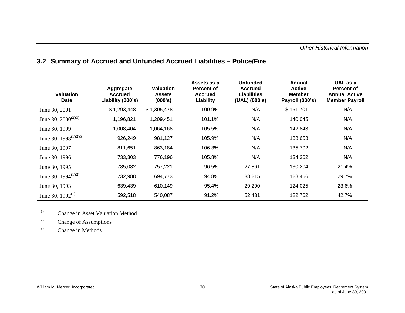### *Other Historical Information*

| <b>Valuation</b><br>Date           | Aggregate<br><b>Accrued</b><br>Liability (000's) | <b>Valuation</b><br><b>Assets</b><br>(000's) | Assets as a<br><b>Percent of</b><br><b>Accrued</b><br>Liability | <b>Unfunded</b><br><b>Accrued</b><br><b>Liabilities</b><br>(UAL) (000's) | Annual<br><b>Active</b><br><b>Member</b><br>Payroll (000's) | UAL as a<br>Percent of<br><b>Annual Active</b><br><b>Member Payroll</b> |
|------------------------------------|--------------------------------------------------|----------------------------------------------|-----------------------------------------------------------------|--------------------------------------------------------------------------|-------------------------------------------------------------|-------------------------------------------------------------------------|
| June 30, 2001                      | \$1,293,448                                      | \$1,305,478                                  | 100.9%                                                          | N/A                                                                      | \$151,701                                                   | N/A                                                                     |
| June 30, $2000^{(2)(3)}$           | 1,196,821                                        | 1,209,451                                    | 101.1%                                                          | N/A                                                                      | 140,045                                                     | N/A                                                                     |
| June 30, 1999                      | 1,008,404                                        | 1,064,168                                    | 105.5%                                                          | N/A                                                                      | 142,843                                                     | N/A                                                                     |
| June 30, 1998 <sup>(1)(2)(3)</sup> | 926,249                                          | 981,127                                      | 105.9%                                                          | N/A                                                                      | 138,653                                                     | N/A                                                                     |
| June 30, 1997                      | 811,651                                          | 863,184                                      | 106.3%                                                          | N/A                                                                      | 135,702                                                     | N/A                                                                     |
| June 30, 1996                      | 733,303                                          | 776,196                                      | 105.8%                                                          | N/A                                                                      | 134,362                                                     | N/A                                                                     |
| June 30, 1995                      | 785,082                                          | 757,221                                      | 96.5%                                                           | 27,861                                                                   | 130,204                                                     | 21.4%                                                                   |
| June 30, 1994 $(1)(2)$             | 732,988                                          | 694,773                                      | 94.8%                                                           | 38,215                                                                   | 128,456                                                     | 29.7%                                                                   |
| June 30, 1993                      | 639,439                                          | 610,149                                      | 95.4%                                                           | 29,290                                                                   | 124,025                                                     | 23.6%                                                                   |
| June 30, $1992^{(1)}$              | 592,518                                          | 540,087                                      | 91.2%                                                           | 52,431                                                                   | 122,762                                                     | 42.7%                                                                   |

## **3.2 Summary of Accrued and Unfunded Accrued Liabilities – Police/Fire**

(1) Change in Asset Valuation Method

(2) Change of Assumptions

(3) Change in Methods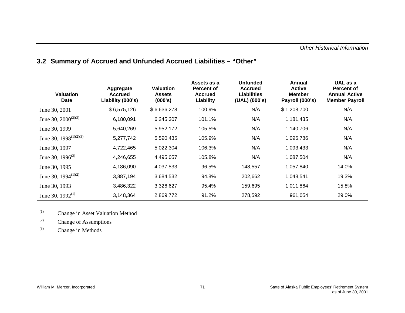| <b>Valuation</b><br>Date     | Aggregate<br><b>Accrued</b><br>Liability (000's) | <b>Valuation</b><br><b>Assets</b><br>(000's) | Assets as a<br><b>Percent of</b><br><b>Accrued</b><br>Liability | <b>Unfunded</b><br><b>Accrued</b><br><b>Liabilities</b><br>(UAL) (000's) | Annual<br><b>Active</b><br><b>Member</b><br>Payroll (000's) | UAL as a<br><b>Percent of</b><br><b>Annual Active</b><br><b>Member Payroll</b> |
|------------------------------|--------------------------------------------------|----------------------------------------------|-----------------------------------------------------------------|--------------------------------------------------------------------------|-------------------------------------------------------------|--------------------------------------------------------------------------------|
| June 30, 2001                | \$6,575,126                                      | \$6,636,278                                  | 100.9%                                                          | N/A                                                                      | \$1,208,700                                                 | N/A                                                                            |
| June 30, $2000^{(2)(3)}$     | 6,180,091                                        | 6,245,307                                    | 101.1%                                                          | N/A                                                                      | 1,181,435                                                   | N/A                                                                            |
| June 30, 1999                | 5,640,269                                        | 5,952,172                                    | 105.5%                                                          | N/A                                                                      | 1,140,706                                                   | N/A                                                                            |
| June 30, $1998^{(1)(2)(3)}$  | 5,277,742                                        | 5,590,435                                    | 105.9%                                                          | N/A                                                                      | 1,096,786                                                   | N/A                                                                            |
| June 30, 1997                | 4,722,465                                        | 5,022,304                                    | 106.3%                                                          | N/A                                                                      | 1,093,433                                                   | N/A                                                                            |
| June 30, 1996 <sup>(2)</sup> | 4,246,655                                        | 4,495,057                                    | 105.8%                                                          | N/A                                                                      | 1,087,504                                                   | N/A                                                                            |
| June 30, 1995                | 4,186,090                                        | 4,037,533                                    | 96.5%                                                           | 148,557                                                                  | 1,057,840                                                   | 14.0%                                                                          |
| June 30, 1994 $(1)(2)$       | 3,887,194                                        | 3,684,532                                    | 94.8%                                                           | 202,662                                                                  | 1,048,541                                                   | 19.3%                                                                          |
| June 30, 1993                | 3,486,322                                        | 3,326,627                                    | 95.4%                                                           | 159,695                                                                  | 1,011,864                                                   | 15.8%                                                                          |
| June 30, $1992^{(1)}$        | 3,148,364                                        | 2,869,772                                    | 91.2%                                                           | 278,592                                                                  | 961.054                                                     | 29.0%                                                                          |

# **3.2 Summary of Accrued and Unfunded Accrued Liabilities – "Other"**

(1) Change in Asset Valuation Method

(2) Change of Assumptions

(3) Change in Methods